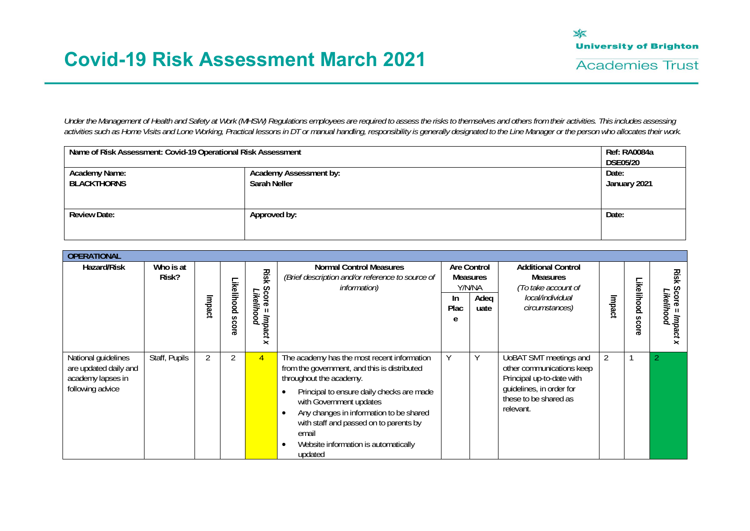

*Under the Management of Health and Safety at Work (MHSW) Regulations employees are required to assess the risks to themselves and others from their activities. This includes assessing activities such as Home Visits and Lone Working, Practical lessons in DT or manual handling, responsibility is generally designated to the Line Manager or the person who allocates their work.* 

| Name of Risk Assessment: Covid-19 Operational Risk Assessment |                       | Ref: RA0084a<br><b>DSE05/20</b> |
|---------------------------------------------------------------|-----------------------|---------------------------------|
| <b>Academy Name:</b><br><b>BLACKTHORNS</b>                    | Date:<br>January 2021 |                                 |
| <b>Review Date:</b>                                           | Approved by:          | Date:                           |

| <b>OPERATIONAL</b>                                                                    |                    |        |                            |                                                                |                                                                                                                                                                                                                                                                                                                                                                                        |                  |                                                                 |                                                                                                                                                    |        |                               |                                               |
|---------------------------------------------------------------------------------------|--------------------|--------|----------------------------|----------------------------------------------------------------|----------------------------------------------------------------------------------------------------------------------------------------------------------------------------------------------------------------------------------------------------------------------------------------------------------------------------------------------------------------------------------------|------------------|-----------------------------------------------------------------|----------------------------------------------------------------------------------------------------------------------------------------------------|--------|-------------------------------|-----------------------------------------------|
| Hazard/Risk                                                                           | Who is at<br>Risk? | Impact | Likelihood<br><b>Score</b> | Risk<br>Score<br>Likelihood<br>Impact<br>$\boldsymbol{\times}$ | <b>Normal Control Measures</b><br>(Brief description and/or reference to source of<br><i>information</i> )                                                                                                                                                                                                                                                                             | In.<br>Plac<br>e | <b>Are Control</b><br><b>Measures</b><br>Y/N/NA<br>Adeq<br>uate | <b>Additional Control</b><br><b>Measures</b><br>(To take account of<br>local/individual<br>circumstances)                                          | Impact | <b>ikelihood</b><br>S<br>core | <b>Ris</b><br>ㅊ<br>တွ<br>Likelihood<br>Impact |
| National guidelines<br>are updated daily and<br>academy lapses in<br>following advice | Staff, Pupils      |        |                            | $\overline{4}$                                                 | The academy has the most recent information<br>from the government, and this is distributed<br>throughout the academy.<br>Principal to ensure daily checks are made<br>$\bullet$<br>with Government updates<br>Any changes in information to be shared<br>$\bullet$<br>with staff and passed on to parents by<br>email<br>Website information is automatically<br>$\bullet$<br>updated | ٧                | Y                                                               | UoBAT SMT meetings and<br>other communications keep<br>Principal up-to-date with<br>guidelines, in order for<br>these to be shared as<br>relevant. |        |                               |                                               |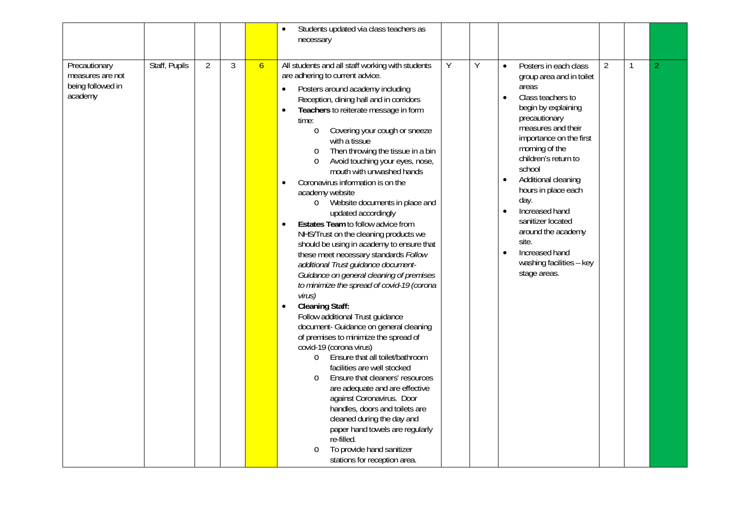|                                                                   |               |   |   |                | Students updated via class teachers as<br>$\bullet$<br>necessary                                                                                                                                                                                                                                                                                                                                                                                                                                                                                                                                                                                                                                                                                                                                                                                                                                                                                                                                                                                                                                                                                                                                                                                                                                                                                                                                                                                                            |   |   |                                                                                                                                                                                                                                                                                                                                                                                                                                                                                         |                |              |                          |
|-------------------------------------------------------------------|---------------|---|---|----------------|-----------------------------------------------------------------------------------------------------------------------------------------------------------------------------------------------------------------------------------------------------------------------------------------------------------------------------------------------------------------------------------------------------------------------------------------------------------------------------------------------------------------------------------------------------------------------------------------------------------------------------------------------------------------------------------------------------------------------------------------------------------------------------------------------------------------------------------------------------------------------------------------------------------------------------------------------------------------------------------------------------------------------------------------------------------------------------------------------------------------------------------------------------------------------------------------------------------------------------------------------------------------------------------------------------------------------------------------------------------------------------------------------------------------------------------------------------------------------------|---|---|-----------------------------------------------------------------------------------------------------------------------------------------------------------------------------------------------------------------------------------------------------------------------------------------------------------------------------------------------------------------------------------------------------------------------------------------------------------------------------------------|----------------|--------------|--------------------------|
| Precautionary<br>measures are not<br>being followed in<br>academy | Staff, Pupils | 2 | 3 | 6 <sup>1</sup> | All students and all staff working with students<br>are adhering to current advice.<br>Posters around academy including<br>Reception, dining hall and in corridors<br>Teachers to reiterate message in form<br>$\bullet$<br>time:<br>Covering your cough or sneeze<br>$\circ$<br>with a tissue<br>Then throwing the tissue in a bin<br>$\circ$<br>Avoid touching your eyes, nose,<br>$\circ$<br>mouth with unwashed hands<br>Coronavirus information is on the<br>$\bullet$<br>academy website<br>Website documents in place and<br>$\circ$<br>updated accordingly<br>Estates Team to follow advice from<br>$\bullet$<br>NHS/Trust on the cleaning products we<br>should be using in academy to ensure that<br>these meet necessary standards Follow<br>additional Trust guidance document-<br>Guidance on general cleaning of premises<br>to minimize the spread of covid-19 (corona<br>virus)<br><b>Cleaning Staff:</b><br>$\bullet$<br>Follow additional Trust guidance<br>document- Guidance on general cleaning<br>of premises to minimize the spread of<br>covid-19 (corona virus)<br>Ensure that all toilet/bathroom<br>$\circ$<br>facilities are well stocked<br>Ensure that cleaners' resources<br>$\circ$<br>are adequate and are effective<br>against Coronavirus. Door<br>handles, doors and toilets are<br>cleaned during the day and<br>paper hand towels are regularly<br>re-filled.<br>To provide hand sanitizer<br>$\circ$<br>stations for reception area. | Y | Y | Posters in each class<br>$\bullet$<br>group area and in toilet<br>areas<br>Class teachers to<br>$\bullet$<br>begin by explaining<br>precautionary<br>measures and their<br>importance on the first<br>morning of the<br>children's return to<br>school<br>Additional cleaning<br>$\bullet$<br>hours in place each<br>day.<br>Increased hand<br>$\bullet$<br>sanitizer located<br>around the academy<br>site.<br>Increased hand<br>$\bullet$<br>washing facilities - key<br>stage areas. | $\overline{2}$ | $\mathbf{1}$ | $\overline{\mathcal{L}}$ |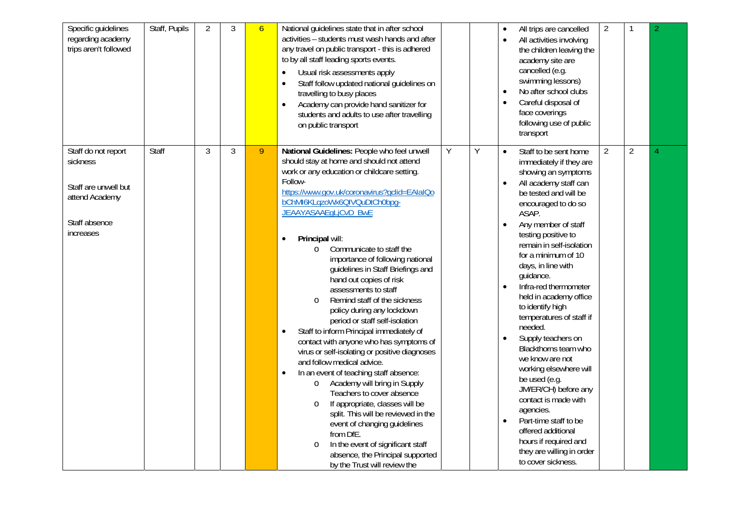| Specific guidelines<br>regarding academy<br>trips aren't followed                                       | Staff, Pupils | $\overline{2}$ | 3 | 6 | National guidelines state that in after school<br>activities - students must wash hands and after<br>any travel on public transport - this is adhered<br>to by all staff leading sports events.<br>Usual risk assessments apply<br>$\bullet$<br>Staff follow updated national guidelines on<br>$\bullet$<br>travelling to busy places<br>Academy can provide hand sanitizer for<br>$\bullet$<br>students and adults to use after travelling<br>on public transport                                                                                                                                                                                                                                                                                                                                                                                                                                                                                                                                                                                                                                                                  |   |   | All trips are cancelled<br>All activities involving<br>the children leaving the<br>academy site are<br>cancelled (e.g.<br>swimming lessons)<br>No after school clubs<br>Careful disposal of<br>face coverings<br>following use of public<br>transport                                                                                                                                                                                                                                                                                                                                                                                                                                                                                     | $\overline{2}$ |                | 2 |
|---------------------------------------------------------------------------------------------------------|---------------|----------------|---|---|-------------------------------------------------------------------------------------------------------------------------------------------------------------------------------------------------------------------------------------------------------------------------------------------------------------------------------------------------------------------------------------------------------------------------------------------------------------------------------------------------------------------------------------------------------------------------------------------------------------------------------------------------------------------------------------------------------------------------------------------------------------------------------------------------------------------------------------------------------------------------------------------------------------------------------------------------------------------------------------------------------------------------------------------------------------------------------------------------------------------------------------|---|---|-------------------------------------------------------------------------------------------------------------------------------------------------------------------------------------------------------------------------------------------------------------------------------------------------------------------------------------------------------------------------------------------------------------------------------------------------------------------------------------------------------------------------------------------------------------------------------------------------------------------------------------------------------------------------------------------------------------------------------------------|----------------|----------------|---|
| Staff do not report<br>sickness<br>Staff are unwell but<br>attend Academy<br>Staff absence<br>increases | Staff         | 3              | 3 | 9 | National Guidelines: People who feel unwell<br>should stay at home and should not attend<br>work or any education or childcare setting.<br>Follow-<br>https://www.gov.uk/coronavirus?gclid=EAIaIQo<br>bChMI6KLqzoWx6QIVQuDtCh0bpq-<br>JEAAYASAAEgLjCvD_BwE<br>Principal will:<br>Communicate to staff the<br>$\circ$<br>importance of following national<br>guidelines in Staff Briefings and<br>hand out copies of risk<br>assessments to staff<br>Remind staff of the sickness<br>$\circ$<br>policy during any lockdown<br>period or staff self-isolation<br>Staff to inform Principal immediately of<br>$\bullet$<br>contact with anyone who has symptoms of<br>virus or self-isolating or positive diagnoses<br>and follow medical advice.<br>In an event of teaching staff absence:<br>$\bullet$<br>Academy will bring in Supply<br>$\circ$<br>Teachers to cover absence<br>If appropriate, classes will be<br>$\circ$<br>split. This will be reviewed in the<br>event of changing guidelines<br>from DfE.<br>In the event of significant staff<br>$\circ$<br>absence, the Principal supported<br>by the Trust will review the | Y | Y | Staff to be sent home<br>$\bullet$<br>immediately if they are<br>showing an symptoms<br>All academy staff can<br>be tested and will be<br>encouraged to do so<br>ASAP.<br>Any member of staff<br>$\bullet$<br>testing positive to<br>remain in self-isolation<br>for a minimum of 10<br>days, in line with<br>guidance.<br>Infra-red thermometer<br>held in academy office<br>to identify high<br>temperatures of staff if<br>needed.<br>Supply teachers on<br>Blackthorns team who<br>we know are not<br>working elsewhere will<br>be used (e.g.<br>JM/ER/CH) before any<br>contact is made with<br>agencies.<br>Part-time staff to be<br>offered additional<br>hours if required and<br>they are willing in order<br>to cover sickness. | $\overline{2}$ | $\overline{2}$ | 4 |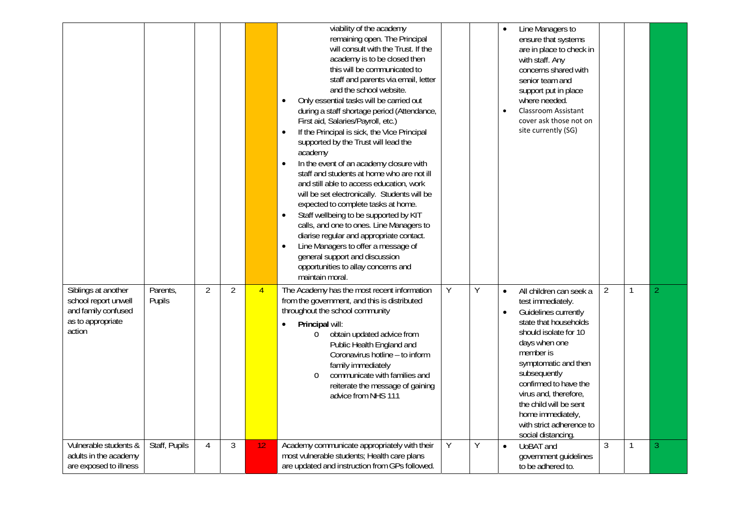|                                                                                                   |                    |                |                |                | viability of the academy<br>remaining open. The Principal<br>will consult with the Trust. If the<br>academy is to be closed then<br>this will be communicated to<br>staff and parents via email, letter<br>and the school website.<br>Only essential tasks will be carried out<br>$\bullet$<br>during a staff shortage period (Attendance,<br>First aid, Salaries/Payroll, etc.)<br>If the Principal is sick, the Vice Principal<br>$\bullet$<br>supported by the Trust will lead the<br>academy<br>In the event of an academy closure with<br>$\bullet$<br>staff and students at home who are not ill<br>and still able to access education, work<br>will be set electronically. Students will be<br>expected to complete tasks at home.<br>Staff wellbeing to be supported by KIT<br>$\bullet$<br>calls, and one to ones. Line Managers to<br>diarise regular and appropriate contact.<br>Line Managers to offer a message of<br>$\bullet$<br>general support and discussion<br>opportunities to allay concerns and<br>maintain moral. |   |   | Line Managers to<br>ensure that systems<br>are in place to check in<br>with staff. Any<br>concerns shared with<br>senior team and<br>support put in place<br>where needed.<br><b>Classroom Assistant</b><br>cover ask those not on<br>site currently (SG)                                                                                                                                |  |
|---------------------------------------------------------------------------------------------------|--------------------|----------------|----------------|----------------|------------------------------------------------------------------------------------------------------------------------------------------------------------------------------------------------------------------------------------------------------------------------------------------------------------------------------------------------------------------------------------------------------------------------------------------------------------------------------------------------------------------------------------------------------------------------------------------------------------------------------------------------------------------------------------------------------------------------------------------------------------------------------------------------------------------------------------------------------------------------------------------------------------------------------------------------------------------------------------------------------------------------------------------|---|---|------------------------------------------------------------------------------------------------------------------------------------------------------------------------------------------------------------------------------------------------------------------------------------------------------------------------------------------------------------------------------------------|--|
| Siblings at another<br>school report unwell<br>and family confused<br>as to appropriate<br>action | Parents,<br>Pupils | $\overline{2}$ | $\overline{2}$ | $\overline{4}$ | The Academy has the most recent information<br>from the government, and this is distributed<br>throughout the school community<br>Principal will:<br>obtain updated advice from<br>$\circ$<br>Public Health England and<br>Coronavirus hotline - to inform<br>family immediately<br>communicate with families and<br>$\circ$<br>reiterate the message of gaining<br>advice from NHS 111                                                                                                                                                                                                                                                                                                                                                                                                                                                                                                                                                                                                                                                  | Y | Υ | $\overline{2}$<br>All children can seek a<br>1<br>2<br>$\bullet$<br>test immediately.<br>Guidelines currently<br>state that households<br>should isolate for 10<br>days when one<br>member is<br>symptomatic and then<br>subsequently<br>confirmed to have the<br>virus and, therefore,<br>the child will be sent<br>home immediately,<br>with strict adherence to<br>social distancing. |  |
| Vulnerable students &<br>adults in the academy<br>are exposed to illness                          | Staff, Pupils      | $\overline{4}$ | 3              | 12             | Academy communicate appropriately with their<br>most vulnerable students; Health care plans<br>are updated and instruction from GPs followed.                                                                                                                                                                                                                                                                                                                                                                                                                                                                                                                                                                                                                                                                                                                                                                                                                                                                                            | Y | Y | 3<br>UoBAT and<br>1<br>3<br>$\bullet$<br>government guidelines<br>to be adhered to.                                                                                                                                                                                                                                                                                                      |  |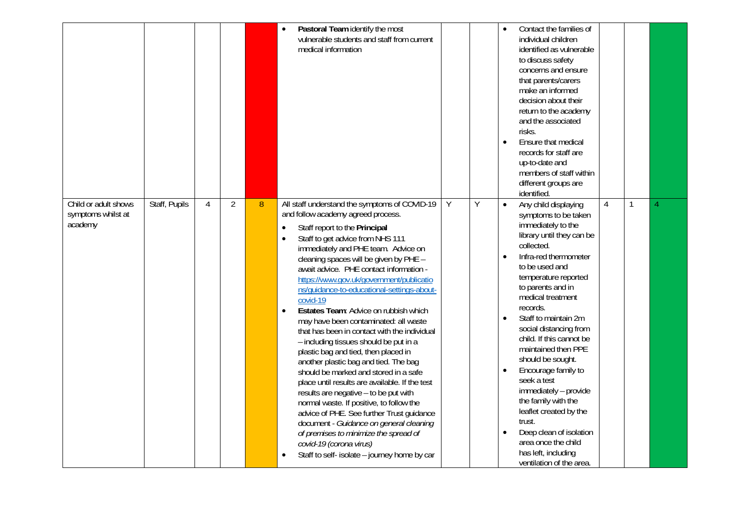|                                                       |               |   |                |   | Pastoral Team identify the most<br>vulnerable students and staff from current<br>medical information                                                                                                                                                                                                                                                                                                                                                                                                                                                                                                                                                                                                                                                                                                                                                                                                                                                                                                                                                                                                    |   |   | Contact the families of<br>individual children<br>identified as vulnerable<br>to discuss safety<br>concerns and ensure<br>that parents/carers<br>make an informed<br>decision about their<br>return to the academy<br>and the associated<br>risks.<br>Ensure that medical<br>$\bullet$<br>records for staff are<br>up-to-date and<br>members of staff within<br>different groups are<br>identified.                                                                                                                                                                                                                                                 |   |   |  |
|-------------------------------------------------------|---------------|---|----------------|---|---------------------------------------------------------------------------------------------------------------------------------------------------------------------------------------------------------------------------------------------------------------------------------------------------------------------------------------------------------------------------------------------------------------------------------------------------------------------------------------------------------------------------------------------------------------------------------------------------------------------------------------------------------------------------------------------------------------------------------------------------------------------------------------------------------------------------------------------------------------------------------------------------------------------------------------------------------------------------------------------------------------------------------------------------------------------------------------------------------|---|---|-----------------------------------------------------------------------------------------------------------------------------------------------------------------------------------------------------------------------------------------------------------------------------------------------------------------------------------------------------------------------------------------------------------------------------------------------------------------------------------------------------------------------------------------------------------------------------------------------------------------------------------------------------|---|---|--|
| Child or adult shows<br>symptoms whilst at<br>academy | Staff, Pupils | 4 | $\overline{2}$ | 8 | All staff understand the symptoms of COVID-19<br>and follow academy agreed process.<br>Staff report to the Principal<br>$\bullet$<br>Staff to get advice from NHS 111<br>$\bullet$<br>immediately and PHE team. Advice on<br>cleaning spaces will be given by PHE -<br>await advice. PHE contact information -<br>https://www.gov.uk/government/publicatio<br>ns/guidance-to-educational-settings-about-<br>covid-19<br>Estates Team: Advice on rubbish which<br>$\bullet$<br>may have been contaminated: all waste<br>that has been in contact with the individual<br>- including tissues should be put in a<br>plastic bag and tied, then placed in<br>another plastic bag and tied. The bag<br>should be marked and stored in a safe<br>place until results are available. If the test<br>results are negative - to be put with<br>normal waste. If positive, to follow the<br>advice of PHE. See further Trust guidance<br>document - Guidance on general cleaning<br>of premises to minimize the spread of<br>covid-19 (corona virus)<br>Staff to self- isolate - journey home by car<br>$\bullet$ | Υ | Υ | Any child displaying<br>$\bullet$<br>symptoms to be taken<br>immediately to the<br>library until they can be<br>collected.<br>Infra-red thermometer<br>$\bullet$<br>to be used and<br>temperature reported<br>to parents and in<br>medical treatment<br>records.<br>Staff to maintain 2m<br>$\bullet$<br>social distancing from<br>child. If this cannot be<br>maintained then PPE<br>should be sought.<br>Encourage family to<br>seek a test<br>immediately - provide<br>the family with the<br>leaflet created by the<br>trust.<br>Deep clean of isolation<br>$\bullet$<br>area once the child<br>has left, including<br>ventilation of the area. | 4 | 1 |  |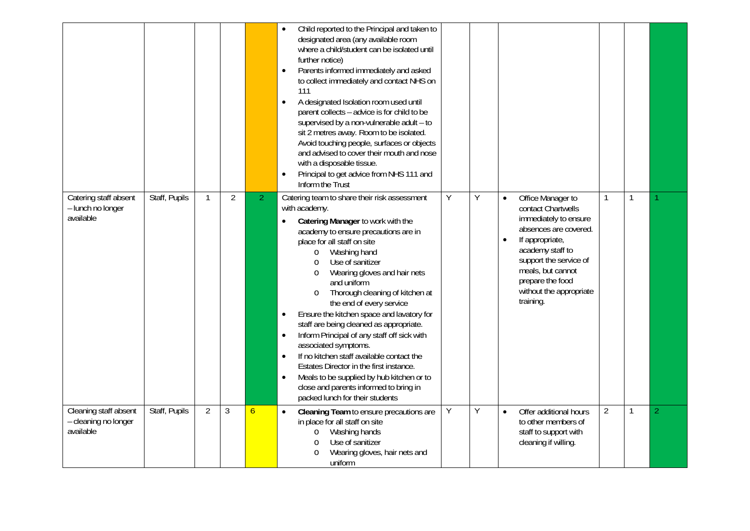|                                                            |               |                |                |                | Child reported to the Principal and taken to<br>designated area (any available room<br>where a child/student can be isolated until<br>further notice)<br>Parents informed immediately and asked<br>$\bullet$<br>to collect immediately and contact NHS on<br>111<br>A designated Isolation room used until<br>$\bullet$<br>parent collects - advice is for child to be<br>supervised by a non-vulnerable adult - to<br>sit 2 metres away. Room to be isolated.<br>Avoid touching people, surfaces or objects<br>and advised to cover their mouth and nose<br>with a disposable tissue.<br>Principal to get advice from NHS 111 and<br>$\bullet$<br>Inform the Trust                                                                                                                                                       |   |   |                                                                                                                                                                                                                                                                       |                |              |                |
|------------------------------------------------------------|---------------|----------------|----------------|----------------|---------------------------------------------------------------------------------------------------------------------------------------------------------------------------------------------------------------------------------------------------------------------------------------------------------------------------------------------------------------------------------------------------------------------------------------------------------------------------------------------------------------------------------------------------------------------------------------------------------------------------------------------------------------------------------------------------------------------------------------------------------------------------------------------------------------------------|---|---|-----------------------------------------------------------------------------------------------------------------------------------------------------------------------------------------------------------------------------------------------------------------------|----------------|--------------|----------------|
| Catering staff absent<br>- lunch no longer<br>available    | Staff, Pupils | $\mathbf{1}$   | $\overline{2}$ | $\overline{2}$ | Catering team to share their risk assessment<br>with academy.<br>Catering Manager to work with the<br>$\bullet$<br>academy to ensure precautions are in<br>place for all staff on site<br>Washing hand<br>$\circ$<br>Use of sanitizer<br>$\circ$<br>Wearing gloves and hair nets<br>$\circ$<br>and uniform<br>Thorough cleaning of kitchen at<br>$\circ$<br>the end of every service<br>Ensure the kitchen space and lavatory for<br>$\bullet$<br>staff are being cleaned as appropriate.<br>Inform Principal of any staff off sick with<br>$\bullet$<br>associated symptoms.<br>If no kitchen staff available contact the<br>$\bullet$<br>Estates Director in the first instance.<br>Meals to be supplied by hub kitchen or to<br>$\bullet$<br>close and parents informed to bring in<br>packed lunch for their students | Υ | Y | Office Manager to<br>$\bullet$<br>contact Chartwells<br>immediately to ensure<br>absences are covered.<br>If appropriate,<br>$\bullet$<br>academy staff to<br>support the service of<br>meals, but cannot<br>prepare the food<br>without the appropriate<br>training. | $\mathbf{1}$   | $\mathbf{1}$ |                |
| Cleaning staff absent<br>- cleaning no longer<br>available | Staff, Pupils | $\overline{2}$ | 3              | $\overline{6}$ | Cleaning Team to ensure precautions are<br>$\bullet$<br>in place for all staff on site<br>Washing hands<br>$\circ$<br>Use of sanitizer<br>$\circ$<br>Wearing gloves, hair nets and<br>$\circ$<br>uniform                                                                                                                                                                                                                                                                                                                                                                                                                                                                                                                                                                                                                  | Υ | Y | Offer additional hours<br>$\bullet$<br>to other members of<br>staff to support with<br>cleaning if willing.                                                                                                                                                           | $\overline{2}$ | $\mathbf{1}$ | $\overline{2}$ |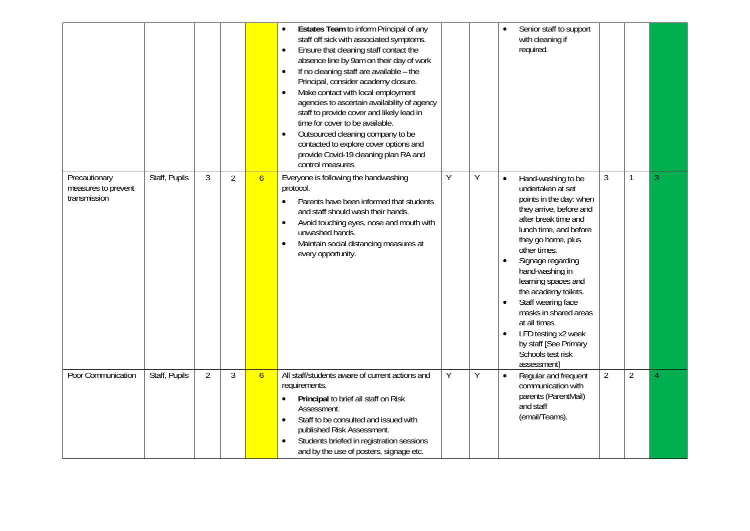|                                                      |               |                |                |                | Estates Team to inform Principal of any<br>staff off sick with associated symptoms.<br>Ensure that cleaning staff contact the<br>$\bullet$<br>absence line by 9am on their day of work<br>If no cleaning staff are available - the<br>$\bullet$<br>Principal, consider academy closure.<br>Make contact with local employment<br>$\bullet$<br>agencies to ascertain availability of agency<br>staff to provide cover and likely lead in<br>time for cover to be available.<br>Outsourced cleaning company to be<br>$\bullet$<br>contacted to explore cover options and<br>provide Covid-19 cleaning plan RA and<br>control measures |   |   | Senior staff to support<br>with cleaning if<br>required.                                                                                                                                                                                                                                                                                                                                                                                                               |                |                |   |
|------------------------------------------------------|---------------|----------------|----------------|----------------|-------------------------------------------------------------------------------------------------------------------------------------------------------------------------------------------------------------------------------------------------------------------------------------------------------------------------------------------------------------------------------------------------------------------------------------------------------------------------------------------------------------------------------------------------------------------------------------------------------------------------------------|---|---|------------------------------------------------------------------------------------------------------------------------------------------------------------------------------------------------------------------------------------------------------------------------------------------------------------------------------------------------------------------------------------------------------------------------------------------------------------------------|----------------|----------------|---|
| Precautionary<br>measures to prevent<br>transmission | Staff, Pupils | 3              | $\overline{2}$ | $\overline{6}$ | Everyone is following the handwashing<br>protocol.<br>Parents have been informed that students<br>and staff should wash their hands.<br>Avoid touching eyes, nose and mouth with<br>$\bullet$<br>unwashed hands.<br>Maintain social distancing measures at<br>$\bullet$<br>every opportunity.                                                                                                                                                                                                                                                                                                                                       | Υ | Y | Hand-washing to be<br>$\bullet$<br>undertaken at set<br>points in the day: when<br>they arrive, before and<br>after break time and<br>lunch time, and before<br>they go home, plus<br>other times.<br>Signage regarding<br>$\bullet$<br>hand-washing in<br>learning spaces and<br>the academy toilets.<br>Staff wearing face<br>masks in shared areas<br>at all times<br>LFD testing x2 week<br>$\bullet$<br>by staff [See Primary<br>Schools test risk<br>assessment] | 3              | $\mathbf{1}$   | 3 |
| Poor Communication                                   | Staff, Pupils | $\overline{2}$ | $\mathfrak{Z}$ | $\overline{6}$ | All staff/students aware of current actions and<br>requirements.<br>Principal to brief all staff on Risk<br>Assessment.<br>Staff to be consulted and issued with<br>$\bullet$<br>published Risk Assessment.<br>Students briefed in registration sessions<br>$\bullet$<br>and by the use of posters, signage etc.                                                                                                                                                                                                                                                                                                                    | Υ | Y | Regular and frequent<br>$\bullet$<br>communication with<br>parents (ParentMail)<br>and staff<br>(email/Teams).                                                                                                                                                                                                                                                                                                                                                         | $\overline{2}$ | $\overline{2}$ | 4 |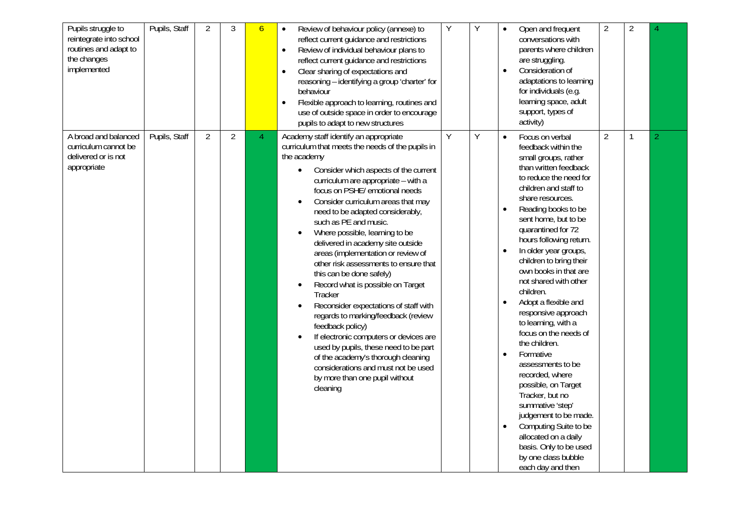| $\overline{2}$<br>$\overline{2}$                                                                                                                                                                                                                                                                                                                                                                                                                        | $\overline{2}$<br>1<br>judgement to be made.<br>Computing Suite to be<br>basis. Only to be used                                                                                                                                                                                                                                                                                                                                                                                                                                                                                                                                                                                                                                                                                                                                                                                                                                                    |
|---------------------------------------------------------------------------------------------------------------------------------------------------------------------------------------------------------------------------------------------------------------------------------------------------------------------------------------------------------------------------------------------------------------------------------------------------------|----------------------------------------------------------------------------------------------------------------------------------------------------------------------------------------------------------------------------------------------------------------------------------------------------------------------------------------------------------------------------------------------------------------------------------------------------------------------------------------------------------------------------------------------------------------------------------------------------------------------------------------------------------------------------------------------------------------------------------------------------------------------------------------------------------------------------------------------------------------------------------------------------------------------------------------------------|
| Open and frequent<br>conversations with<br>parents where children<br>are struggling.<br>Consideration of<br>adaptations to learning<br>for individuals (e.g.<br>learning space, adult<br>support, types of<br>activity)                                                                                                                                                                                                                                 | Focus on verbal<br>feedback within the<br>small groups, rather<br>than written feedback<br>to reduce the need for<br>children and staff to<br>share resources.<br>Reading books to be<br>sent home, but to be<br>quarantined for 72<br>hours following return.<br>In older year groups,<br>children to bring their<br>own books in that are<br>not shared with other<br>children.<br>Adopt a flexible and<br>responsive approach<br>to learning, with a<br>focus on the needs of<br>the children.<br>Formative<br>assessments to be<br>recorded, where<br>possible, on Target<br>Tracker, but no<br>summative 'step'                                                                                                                                                                                                                                                                                                                               |
|                                                                                                                                                                                                                                                                                                                                                                                                                                                         | $\bullet$                                                                                                                                                                                                                                                                                                                                                                                                                                                                                                                                                                                                                                                                                                                                                                                                                                                                                                                                          |
| Y                                                                                                                                                                                                                                                                                                                                                                                                                                                       | Y                                                                                                                                                                                                                                                                                                                                                                                                                                                                                                                                                                                                                                                                                                                                                                                                                                                                                                                                                  |
| Υ                                                                                                                                                                                                                                                                                                                                                                                                                                                       | $\overline{Y}$                                                                                                                                                                                                                                                                                                                                                                                                                                                                                                                                                                                                                                                                                                                                                                                                                                                                                                                                     |
| Review of behaviour policy (annexe) to<br>reflect current guidance and restrictions<br>Review of individual behaviour plans to<br>$\bullet$<br>reflect current guidance and restrictions<br>Clear sharing of expectations and<br>$\bullet$<br>reasoning - identifying a group 'charter' for<br>behaviour<br>Flexible approach to learning, routines and<br>$\bullet$<br>use of outside space in order to encourage<br>pupils to adapt to new structures | Academy staff identify an appropriate<br>curriculum that meets the needs of the pupils in<br>the academy<br>Consider which aspects of the current<br>curriculum are appropriate - with a<br>focus on PSHE/ emotional needs<br>Consider curriculum areas that may<br>$\bullet$<br>need to be adapted considerably,<br>such as PE and music.<br>Where possible, learning to be<br>$\bullet$<br>delivered in academy site outside<br>areas (implementation or review of<br>other risk assessments to ensure that<br>this can be done safely)<br>Record what is possible on Target<br>$\bullet$<br>Tracker<br>Reconsider expectations of staff with<br>$\bullet$<br>regards to marking/feedback (review<br>feedback policy)<br>If electronic computers or devices are<br>$\bullet$<br>used by pupils, these need to be part<br>of the academy's thorough cleaning<br>considerations and must not be used<br>by more than one pupil without<br>cleaning |
| 6                                                                                                                                                                                                                                                                                                                                                                                                                                                       | 4                                                                                                                                                                                                                                                                                                                                                                                                                                                                                                                                                                                                                                                                                                                                                                                                                                                                                                                                                  |
| 3                                                                                                                                                                                                                                                                                                                                                                                                                                                       | $\overline{2}$                                                                                                                                                                                                                                                                                                                                                                                                                                                                                                                                                                                                                                                                                                                                                                                                                                                                                                                                     |
| $\overline{2}$                                                                                                                                                                                                                                                                                                                                                                                                                                          | $\overline{2}$                                                                                                                                                                                                                                                                                                                                                                                                                                                                                                                                                                                                                                                                                                                                                                                                                                                                                                                                     |
| Pupils, Staff                                                                                                                                                                                                                                                                                                                                                                                                                                           | Pupils, Staff                                                                                                                                                                                                                                                                                                                                                                                                                                                                                                                                                                                                                                                                                                                                                                                                                                                                                                                                      |
| Pupils struggle to<br>reintegrate into school<br>routines and adapt to<br>the changes<br>implemented                                                                                                                                                                                                                                                                                                                                                    | A broad and balanced<br>curriculum cannot be<br>delivered or is not<br>appropriate                                                                                                                                                                                                                                                                                                                                                                                                                                                                                                                                                                                                                                                                                                                                                                                                                                                                 |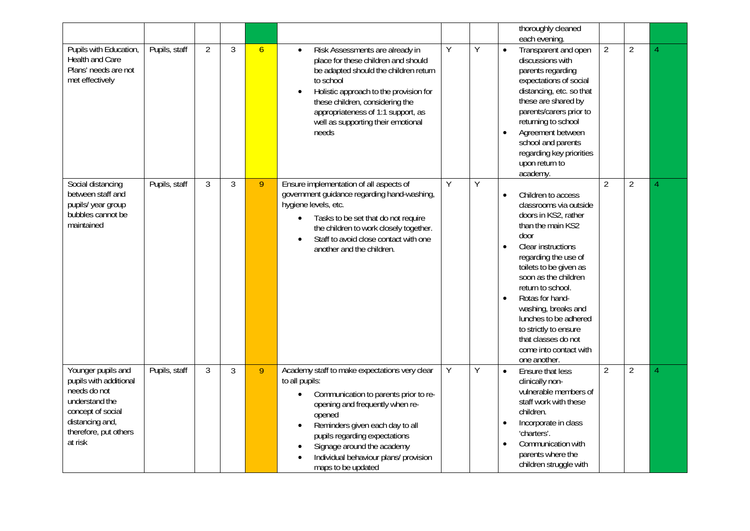| Pupils with Education,<br>Health and Care<br>Plans' needs are not<br>met effectively                                                                       | Pupils, staff | $\overline{2}$ | 3              | $\overline{6}$ | Risk Assessments are already in<br>$\bullet$<br>place for these children and should<br>be adapted should the children return<br>to school<br>Holistic approach to the provision for<br>$\bullet$<br>these children, considering the<br>appropriateness of 1:1 support, as<br>well as supporting their emotional<br>needs                                      | Y              | Y | thoroughly cleaned<br>each evening.<br>Transparent and open<br>$\bullet$<br>discussions with<br>parents regarding<br>expectations of social<br>distancing, etc. so that<br>these are shared by<br>parents/carers prior to<br>returning to school<br>Agreement between<br>$\bullet$<br>school and parents<br>regarding key priorities<br>upon return to<br>academy.                               | $\overline{2}$ | $\overline{2}$ |  |
|------------------------------------------------------------------------------------------------------------------------------------------------------------|---------------|----------------|----------------|----------------|---------------------------------------------------------------------------------------------------------------------------------------------------------------------------------------------------------------------------------------------------------------------------------------------------------------------------------------------------------------|----------------|---|--------------------------------------------------------------------------------------------------------------------------------------------------------------------------------------------------------------------------------------------------------------------------------------------------------------------------------------------------------------------------------------------------|----------------|----------------|--|
| Social distancing<br>between staff and<br>pupils/ year group<br>bubbles cannot be<br>maintained                                                            | Pupils, staff | 3              | $\overline{3}$ | 9              | Ensure implementation of all aspects of<br>government guidance regarding hand-washing,<br>hygiene levels, etc.<br>Tasks to be set that do not require<br>the children to work closely together.<br>Staff to avoid close contact with one<br>$\bullet$<br>another and the children.                                                                            | $\overline{Y}$ | Y | Children to access<br>classrooms via outside<br>doors in KS2, rather<br>than the main KS2<br>door<br>Clear instructions<br>$\bullet$<br>regarding the use of<br>toilets to be given as<br>soon as the children<br>return to school.<br>Rotas for hand-<br>washing, breaks and<br>lunches to be adhered<br>to strictly to ensure<br>that classes do not<br>come into contact with<br>one another. | $\overline{2}$ | $\overline{2}$ |  |
| Younger pupils and<br>pupils with additional<br>needs do not<br>understand the<br>concept of social<br>distancing and,<br>therefore, put others<br>at risk | Pupils, staff | 3              | 3              | 9              | Academy staff to make expectations very clear<br>to all pupils:<br>Communication to parents prior to re-<br>$\bullet$<br>opening and frequently when re-<br>opened<br>Reminders given each day to all<br>$\bullet$<br>pupils regarding expectations<br>Signage around the academy<br>$\bullet$<br>Individual behaviour plans/ provision<br>maps to be updated | Y              | Y | Ensure that less<br>$\bullet$<br>clinically non-<br>vulnerable members of<br>staff work with these<br>children.<br>Incorporate in class<br>'charters'.<br>Communication with<br>parents where the<br>children struggle with                                                                                                                                                                      | $\overline{2}$ | $\overline{2}$ |  |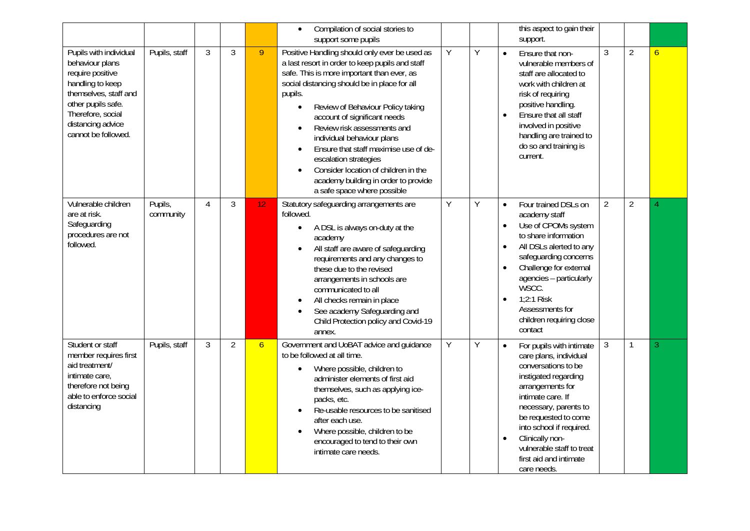|                                                                                                                                                                                                   |                      |   |                |                | Compilation of social stories to<br>$\bullet$<br>support some pupils                                                                                                                                                                                                                                                                                                                                                                                                                                                                                                             |   |   | this aspect to gain their<br>support.                                                                                                                                                                                                                                                                                                      |                |                |                |
|---------------------------------------------------------------------------------------------------------------------------------------------------------------------------------------------------|----------------------|---|----------------|----------------|----------------------------------------------------------------------------------------------------------------------------------------------------------------------------------------------------------------------------------------------------------------------------------------------------------------------------------------------------------------------------------------------------------------------------------------------------------------------------------------------------------------------------------------------------------------------------------|---|---|--------------------------------------------------------------------------------------------------------------------------------------------------------------------------------------------------------------------------------------------------------------------------------------------------------------------------------------------|----------------|----------------|----------------|
| Pupils with individual<br>behaviour plans<br>require positive<br>handling to keep<br>themselves, staff and<br>other pupils safe.<br>Therefore, social<br>distancing advice<br>cannot be followed. | Pupils, staff        | 3 | 3              | 9              | Positive Handling should only ever be used as<br>a last resort in order to keep pupils and staff<br>safe. This is more important than ever, as<br>social distancing should be in place for all<br>pupils.<br>Review of Behaviour Policy taking<br>$\bullet$<br>account of significant needs<br>Review risk assessments and<br>$\bullet$<br>individual behaviour plans<br>Ensure that staff maximise use of de-<br>$\bullet$<br>escalation strategies<br>Consider location of children in the<br>$\bullet$<br>academy building in order to provide<br>a safe space where possible | Υ | Y | Ensure that non-<br>$\bullet$<br>vulnerable members of<br>staff are allocated to<br>work with children at<br>risk of requiring<br>positive handling.<br>Ensure that all staff<br>$\bullet$<br>involved in positive<br>handling are trained to<br>do so and training is<br>current.                                                         | $\mathfrak{Z}$ | $\overline{2}$ | $\overline{6}$ |
| Vulnerable children<br>are at risk.<br>Safeguarding<br>procedures are not<br>followed.                                                                                                            | Pupils,<br>community | 4 | 3              | 12             | Statutory safeguarding arrangements are<br>followed.<br>A DSL is always on-duty at the<br>$\bullet$<br>academy<br>All staff are aware of safeguarding<br>$\bullet$<br>requirements and any changes to<br>these due to the revised<br>arrangements in schools are<br>communicated to all<br>All checks remain in place<br>$\bullet$<br>See academy Safeguarding and<br>$\bullet$<br>Child Protection policy and Covid-19<br>annex.                                                                                                                                                | Υ | Y | Four trained DSLs on<br>$\bullet$<br>academy staff<br>Use of CPOMs system<br>to share information<br>All DSLs alerted to any<br>safeguarding concerns<br>Challenge for external<br>agencies - particularly<br>WSCC.<br>$1:2:1$ Risk<br>Assessments for<br>children requiring close<br>contact                                              | $\overline{2}$ | $\overline{2}$ | 4              |
| Student or staff<br>member requires first<br>aid treatment/<br>intimate care,<br>therefore not being<br>able to enforce social<br>distancing                                                      | Pupils, staff        | 3 | $\overline{2}$ | $\overline{6}$ | Government and UoBAT advice and guidance<br>to be followed at all time.<br>Where possible, children to<br>$\bullet$<br>administer elements of first aid<br>themselves, such as applying ice-<br>packs, etc.<br>Re-usable resources to be sanitised<br>$\bullet$<br>after each use.<br>Where possible, children to be<br>$\bullet$<br>encouraged to tend to their own<br>intimate care needs.                                                                                                                                                                                     | Υ | Y | For pupils with intimate<br>$\bullet$<br>care plans, individual<br>conversations to be<br>instigated regarding<br>arrangements for<br>intimate care. If<br>necessary, parents to<br>be requested to come<br>into school if required.<br>Clinically non-<br>$\bullet$<br>vulnerable staff to treat<br>first aid and intimate<br>care needs. | $\mathfrak{Z}$ | $\mathbf{1}$   | 3              |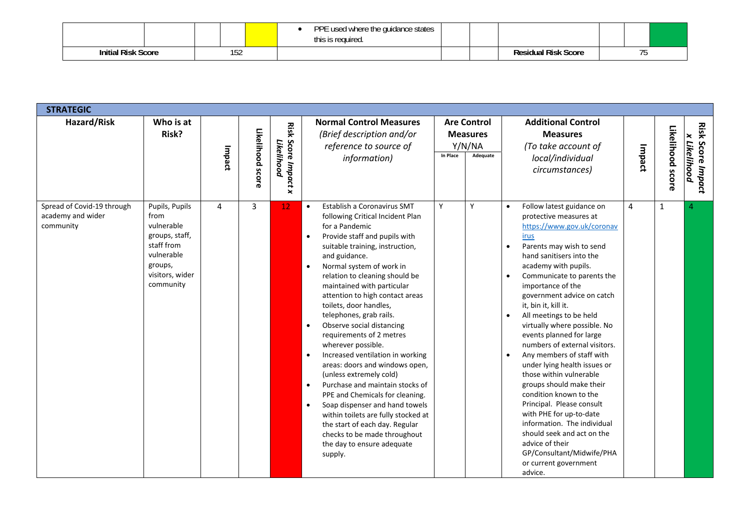|                                   |     | <b>DDE</b><br>used<br>d where the quidance states<br>ः is required. |  |                       |  |  |
|-----------------------------------|-----|---------------------------------------------------------------------|--|-----------------------|--|--|
| <b>Risk</b><br>Initial<br>: Score | 194 |                                                                     |  | باعثها امتنا<br>Score |  |  |

| <b>STRATEGIC</b>                                             |                                                                                                                               |                |                  |                                      |                                                                                                                                                                                                                                                                                                                                                                                                                                                                                                                                                                                                                                                                                                                                                                                                                                                                                                 |          |                                                             |                                                                                                                                                                                                                                                                                                                                                                                                                                                                                                                                                                                                                                                                                                                                                                                                                                    |        |                  |                                          |
|--------------------------------------------------------------|-------------------------------------------------------------------------------------------------------------------------------|----------------|------------------|--------------------------------------|-------------------------------------------------------------------------------------------------------------------------------------------------------------------------------------------------------------------------------------------------------------------------------------------------------------------------------------------------------------------------------------------------------------------------------------------------------------------------------------------------------------------------------------------------------------------------------------------------------------------------------------------------------------------------------------------------------------------------------------------------------------------------------------------------------------------------------------------------------------------------------------------------|----------|-------------------------------------------------------------|------------------------------------------------------------------------------------------------------------------------------------------------------------------------------------------------------------------------------------------------------------------------------------------------------------------------------------------------------------------------------------------------------------------------------------------------------------------------------------------------------------------------------------------------------------------------------------------------------------------------------------------------------------------------------------------------------------------------------------------------------------------------------------------------------------------------------------|--------|------------------|------------------------------------------|
| Hazard/Risk                                                  | Who is at<br>Risk?                                                                                                            | Impact         | Likelihood score | Risk<br>Score Impact x<br>Likelihood | <b>Normal Control Measures</b><br>(Brief description and/or<br>reference to source of<br>information)                                                                                                                                                                                                                                                                                                                                                                                                                                                                                                                                                                                                                                                                                                                                                                                           | In Place | <b>Are Control</b><br><b>Measures</b><br>Y/N/NA<br>Adequate | <b>Additional Control</b><br><b>Measures</b><br>(To take account of<br>local/individual<br>circumstances)                                                                                                                                                                                                                                                                                                                                                                                                                                                                                                                                                                                                                                                                                                                          | Impact | Likelihood score | <b>Risk Score Impact</b><br>x Likelihood |
| Spread of Covid-19 through<br>academy and wider<br>community | Pupils, Pupils<br>from<br>vulnerable<br>groups, staff,<br>staff from<br>vulnerable<br>groups,<br>visitors, wider<br>community | $\overline{4}$ | $\overline{3}$   | 12                                   | Establish a Coronavirus SMT<br>$\bullet$<br>following Critical Incident Plan<br>for a Pandemic<br>Provide staff and pupils with<br>$\bullet$<br>suitable training, instruction,<br>and guidance.<br>Normal system of work in<br>$\bullet$<br>relation to cleaning should be<br>maintained with particular<br>attention to high contact areas<br>toilets, door handles,<br>telephones, grab rails.<br>Observe social distancing<br>$\bullet$<br>requirements of 2 metres<br>wherever possible.<br>Increased ventilation in working<br>$\bullet$<br>areas: doors and windows open,<br>(unless extremely cold)<br>Purchase and maintain stocks of<br>$\bullet$<br>PPE and Chemicals for cleaning.<br>Soap dispenser and hand towels<br>$\bullet$<br>within toilets are fully stocked at<br>the start of each day. Regular<br>checks to be made throughout<br>the day to ensure adequate<br>supply. | Y        | Υ                                                           | Follow latest guidance on<br>$\bullet$<br>protective measures at<br>https://www.gov.uk/coronav<br>irus<br>Parents may wish to send<br>$\bullet$<br>hand sanitisers into the<br>academy with pupils.<br>Communicate to parents the<br>$\bullet$<br>importance of the<br>government advice on catch<br>it, bin it, kill it.<br>All meetings to be held<br>$\bullet$<br>virtually where possible. No<br>events planned for large<br>numbers of external visitors.<br>Any members of staff with<br>$\bullet$<br>under lying health issues or<br>those within vulnerable<br>groups should make their<br>condition known to the<br>Principal. Please consult<br>with PHE for up-to-date<br>information. The individual<br>should seek and act on the<br>advice of their<br>GP/Consultant/Midwife/PHA<br>or current government<br>advice. | 4      | $\mathbf{1}$     |                                          |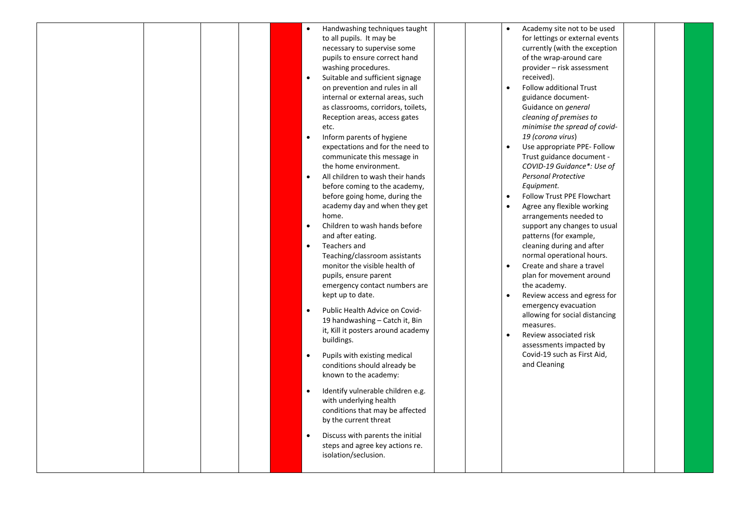| emergency contact numbers are<br>kept up to date.<br>Review access and egress for<br>$\bullet$<br>emergency evacuation<br>Public Health Advice on Covid-<br>$\bullet$<br>allowing for social distancing<br>19 handwashing – Catch it, Bin<br>measures.<br>it, Kill it posters around academy<br>Review associated risk<br>$\bullet$<br>buildings.<br>assessments impacted by<br>Covid-19 such as First Aid,<br>Pupils with existing medical<br>$\bullet$<br>and Cleaning<br>conditions should already be<br>known to the academy:<br>Identify vulnerable children e.g.<br>$\bullet$<br>with underlying health<br>conditions that may be affected<br>by the current threat<br>Discuss with parents the initial<br>$\bullet$<br>steps and agree key actions re.<br>isolation/seclusion. |  |  |  | $\bullet$<br>$\bullet$<br>$\bullet$<br>$\bullet$<br>$\bullet$<br>$\bullet$ | Handwashing techniques taught<br>to all pupils. It may be<br>necessary to supervise some<br>pupils to ensure correct hand<br>washing procedures.<br>Suitable and sufficient signage<br>on prevention and rules in all<br>internal or external areas, such<br>as classrooms, corridors, toilets,<br>Reception areas, access gates<br>etc.<br>Inform parents of hygiene<br>expectations and for the need to<br>communicate this message in<br>the home environment.<br>All children to wash their hands<br>before coming to the academy,<br>before going home, during the<br>academy day and when they get<br>home.<br>Children to wash hands before<br>and after eating.<br>Teachers and<br>Teaching/classroom assistants<br>monitor the visible health of<br>pupils, ensure parent |  |  | $\bullet$<br>$\bullet$<br>$\bullet$<br>$\bullet$<br>$\bullet$<br>$\bullet$ | Academy site not to be used<br>for lettings or external events<br>currently (with the exception<br>of the wrap-around care<br>provider – risk assessment<br>received).<br>Follow additional Trust<br>guidance document-<br>Guidance on <i>general</i><br>cleaning of premises to<br>minimise the spread of covid-<br>19 (corona virus)<br>Use appropriate PPE- Follow<br>Trust guidance document -<br>COVID-19 Guidance*: Use of<br><b>Personal Protective</b><br>Equipment.<br>Follow Trust PPE Flowchart<br>Agree any flexible working<br>arrangements needed to<br>support any changes to usual<br>patterns (for example,<br>cleaning during and after<br>normal operational hours.<br>Create and share a travel<br>plan for movement around<br>the academy. |  |  |  |
|---------------------------------------------------------------------------------------------------------------------------------------------------------------------------------------------------------------------------------------------------------------------------------------------------------------------------------------------------------------------------------------------------------------------------------------------------------------------------------------------------------------------------------------------------------------------------------------------------------------------------------------------------------------------------------------------------------------------------------------------------------------------------------------|--|--|--|----------------------------------------------------------------------------|------------------------------------------------------------------------------------------------------------------------------------------------------------------------------------------------------------------------------------------------------------------------------------------------------------------------------------------------------------------------------------------------------------------------------------------------------------------------------------------------------------------------------------------------------------------------------------------------------------------------------------------------------------------------------------------------------------------------------------------------------------------------------------|--|--|----------------------------------------------------------------------------|-----------------------------------------------------------------------------------------------------------------------------------------------------------------------------------------------------------------------------------------------------------------------------------------------------------------------------------------------------------------------------------------------------------------------------------------------------------------------------------------------------------------------------------------------------------------------------------------------------------------------------------------------------------------------------------------------------------------------------------------------------------------|--|--|--|
|---------------------------------------------------------------------------------------------------------------------------------------------------------------------------------------------------------------------------------------------------------------------------------------------------------------------------------------------------------------------------------------------------------------------------------------------------------------------------------------------------------------------------------------------------------------------------------------------------------------------------------------------------------------------------------------------------------------------------------------------------------------------------------------|--|--|--|----------------------------------------------------------------------------|------------------------------------------------------------------------------------------------------------------------------------------------------------------------------------------------------------------------------------------------------------------------------------------------------------------------------------------------------------------------------------------------------------------------------------------------------------------------------------------------------------------------------------------------------------------------------------------------------------------------------------------------------------------------------------------------------------------------------------------------------------------------------------|--|--|----------------------------------------------------------------------------|-----------------------------------------------------------------------------------------------------------------------------------------------------------------------------------------------------------------------------------------------------------------------------------------------------------------------------------------------------------------------------------------------------------------------------------------------------------------------------------------------------------------------------------------------------------------------------------------------------------------------------------------------------------------------------------------------------------------------------------------------------------------|--|--|--|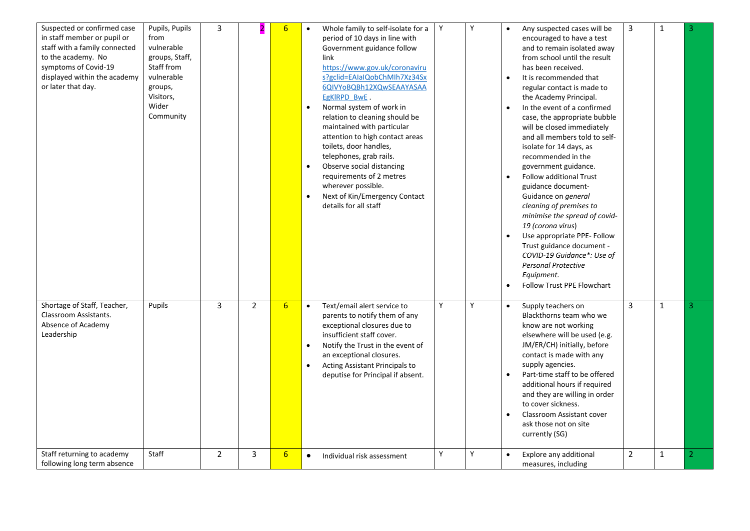| Suspected or confirmed case<br>in staff member or pupil or<br>from<br>staff with a family connected<br>to the academy. No<br>Staff from<br>symptoms of Covid-19<br>displayed within the academy<br>or later that day.<br>groups,<br>Visitors,<br>Wider | Pupils, Pupils<br>3<br>vulnerable<br>groups, Staff,<br>vulnerable<br>Community |                | 6                | Whole family to self-isolate for a<br>$\bullet$<br>period of 10 days in line with<br>Government guidance follow<br>link<br>https://www.gov.uk/coronaviru<br>s?gclid=EAIaIQobChMIh7Xz34Sx<br>6QIVYoBQBh12XQwSEAAYASAA<br>EgKIRPD BwE<br>Normal system of work in<br>$\bullet$<br>relation to cleaning should be<br>maintained with particular<br>attention to high contact areas<br>toilets, door handles,<br>telephones, grab rails.<br>Observe social distancing<br>$\bullet$<br>requirements of 2 metres<br>wherever possible.<br>Next of Kin/Emergency Contact<br>details for all staff | Y | Y | Any suspected cases will be<br>$\bullet$<br>encouraged to have a test<br>and to remain isolated away<br>from school until the result<br>has been received.<br>It is recommended that<br>$\bullet$<br>regular contact is made to<br>the Academy Principal.<br>In the event of a confirmed<br>$\bullet$<br>case, the appropriate bubble<br>will be closed immediately<br>and all members told to self-<br>isolate for 14 days, as<br>recommended in the<br>government guidance.<br><b>Follow additional Trust</b><br>$\bullet$<br>guidance document-<br>Guidance on general<br>cleaning of premises to<br>minimise the spread of covid-<br>19 (corona virus)<br>Use appropriate PPE- Follow<br>$\bullet$<br>Trust guidance document -<br>COVID-19 Guidance*: Use of<br><b>Personal Protective</b><br>Equipment.<br><b>Follow Trust PPE Flowchart</b> | 3              | 1            | 3              |
|--------------------------------------------------------------------------------------------------------------------------------------------------------------------------------------------------------------------------------------------------------|--------------------------------------------------------------------------------|----------------|------------------|--------------------------------------------------------------------------------------------------------------------------------------------------------------------------------------------------------------------------------------------------------------------------------------------------------------------------------------------------------------------------------------------------------------------------------------------------------------------------------------------------------------------------------------------------------------------------------------------|---|---|----------------------------------------------------------------------------------------------------------------------------------------------------------------------------------------------------------------------------------------------------------------------------------------------------------------------------------------------------------------------------------------------------------------------------------------------------------------------------------------------------------------------------------------------------------------------------------------------------------------------------------------------------------------------------------------------------------------------------------------------------------------------------------------------------------------------------------------------------|----------------|--------------|----------------|
| Shortage of Staff, Teacher,<br>Pupils<br>Classroom Assistants.<br>Absence of Academy<br>Leadership                                                                                                                                                     | $\mathsf{3}$                                                                   | $\overline{2}$ | $6\overline{6}$  | Text/email alert service to<br>$\bullet$<br>parents to notify them of any<br>exceptional closures due to<br>insufficient staff cover.<br>Notify the Trust in the event of<br>$\bullet$<br>an exceptional closures.<br>Acting Assistant Principals to<br>$\bullet$<br>deputise for Principal if absent.                                                                                                                                                                                                                                                                                     | Y | Y | Supply teachers on<br>$\bullet$<br>Blackthorns team who we<br>know are not working<br>elsewhere will be used (e.g.<br>JM/ER/CH) initially, before<br>contact is made with any<br>supply agencies.<br>Part-time staff to be offered<br>$\bullet$<br>additional hours if required<br>and they are willing in order<br>to cover sickness.<br>Classroom Assistant cover<br>$\bullet$<br>ask those not on site<br>currently (SG)                                                                                                                                                                                                                                                                                                                                                                                                                        | 3              | $\mathbf{1}$ | 3              |
| Staff<br>Staff returning to academy<br>following long term absence                                                                                                                                                                                     | $\overline{2}$                                                                 | 3              | $6 \overline{6}$ | Individual risk assessment<br>$\bullet$                                                                                                                                                                                                                                                                                                                                                                                                                                                                                                                                                    | Y | Y | Explore any additional<br>$\bullet$<br>measures, including                                                                                                                                                                                                                                                                                                                                                                                                                                                                                                                                                                                                                                                                                                                                                                                         | $\overline{2}$ | $\mathbf 1$  | $\overline{2}$ |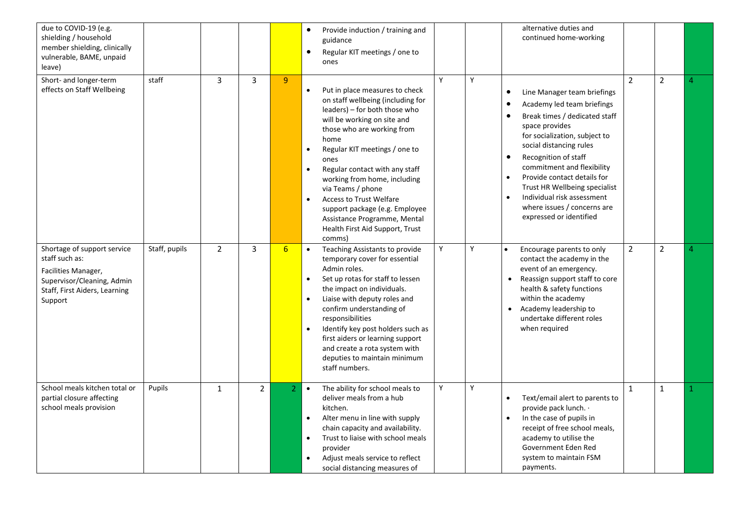| due to COVID-19 (e.g.<br>shielding / household<br>member shielding, clinically<br>vulnerable, BAME, unpaid<br>leave)                           |               |                |              |                 | Provide induction / training and<br>$\bullet$<br>guidance<br>Regular KIT meetings / one to<br>ones                                                                                                                                                                                                                                                                                                                                                                                                      |   |   | alternative duties and<br>continued home-working                                                                                                                                                                                                                                                                                                                                                                                                                     |                |                |   |
|------------------------------------------------------------------------------------------------------------------------------------------------|---------------|----------------|--------------|-----------------|---------------------------------------------------------------------------------------------------------------------------------------------------------------------------------------------------------------------------------------------------------------------------------------------------------------------------------------------------------------------------------------------------------------------------------------------------------------------------------------------------------|---|---|----------------------------------------------------------------------------------------------------------------------------------------------------------------------------------------------------------------------------------------------------------------------------------------------------------------------------------------------------------------------------------------------------------------------------------------------------------------------|----------------|----------------|---|
| Short- and longer-term<br>effects on Staff Wellbeing                                                                                           | staff         | 3              | $\mathsf{3}$ | $\overline{9}$  | Put in place measures to check<br>$\bullet$<br>on staff wellbeing (including for<br>leaders) – for both those who<br>will be working on site and<br>those who are working from<br>home<br>Regular KIT meetings / one to<br>$\bullet$<br>ones<br>Regular contact with any staff<br>$\bullet$<br>working from home, including<br>via Teams / phone<br>Access to Trust Welfare<br>$\bullet$<br>support package (e.g. Employee<br>Assistance Programme, Mental<br>Health First Aid Support, Trust<br>comms) | Y | Y | Line Manager team briefings<br>$\bullet$<br>Academy led team briefings<br>$\bullet$<br>Break times / dedicated staff<br>$\bullet$<br>space provides<br>for socialization, subject to<br>social distancing rules<br>Recognition of staff<br>$\bullet$<br>commitment and flexibility<br>Provide contact details for<br>$\bullet$<br>Trust HR Wellbeing specialist<br>Individual risk assessment<br>$\bullet$<br>where issues / concerns are<br>expressed or identified | $\overline{2}$ | $\overline{2}$ | 4 |
| Shortage of support service<br>staff such as:<br>Facilities Manager,<br>Supervisor/Cleaning, Admin<br>Staff, First Aiders, Learning<br>Support | Staff, pupils | $\overline{2}$ | 3            | $6\overline{6}$ | Teaching Assistants to provide<br>$\bullet$<br>temporary cover for essential<br>Admin roles.<br>Set up rotas for staff to lessen<br>$\bullet$<br>the impact on individuals.<br>Liaise with deputy roles and<br>$\bullet$<br>confirm understanding of<br>responsibilities<br>Identify key post holders such as<br>$\bullet$<br>first aiders or learning support<br>and create a rota system with<br>deputies to maintain minimum<br>staff numbers.                                                       | Y | Y | $\bullet$<br>Encourage parents to only<br>contact the academy in the<br>event of an emergency.<br>Reassign support staff to core<br>health & safety functions<br>within the academy<br>Academy leadership to<br>$\bullet$<br>undertake different roles<br>when required                                                                                                                                                                                              | $\overline{2}$ | $\overline{2}$ |   |
| School meals kitchen total or<br>partial closure affecting<br>school meals provision                                                           | Pupils        | $\mathbf{1}$   | $2^{\circ}$  | $\overline{2}$  | The ability for school meals to<br>$\bullet$<br>deliver meals from a hub<br>kitchen.<br>Alter menu in line with supply<br>$\bullet$<br>chain capacity and availability.<br>Trust to liaise with school meals<br>$\bullet$<br>provider<br>Adjust meals service to reflect<br>$\bullet$<br>social distancing measures of                                                                                                                                                                                  | Y | Y | Text/email alert to parents to<br>$\bullet$<br>provide pack lunch. .<br>In the case of pupils in<br>$\bullet$<br>receipt of free school meals,<br>academy to utilise the<br>Government Eden Red<br>system to maintain FSM<br>payments.                                                                                                                                                                                                                               | $\mathbf{1}$   | $\mathbf{1}$   |   |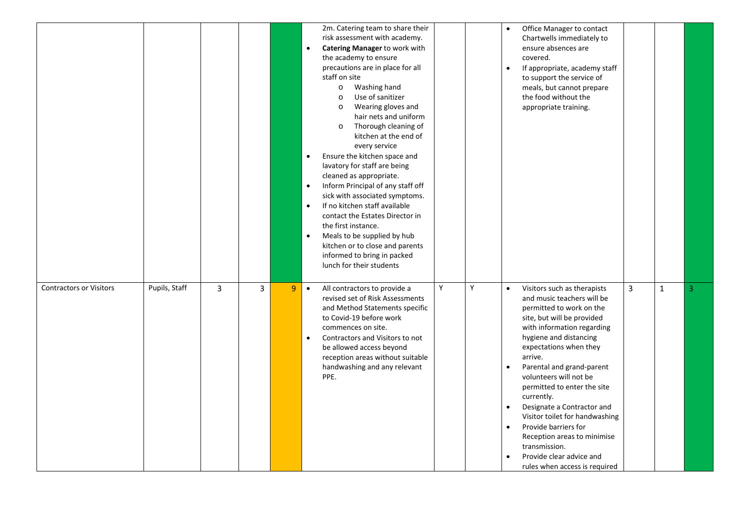|                                |               |              |                |   | 2m. Catering team to share their<br>risk assessment with academy.<br>Catering Manager to work with<br>$\bullet$<br>the academy to ensure<br>precautions are in place for all<br>staff on site<br>Washing hand<br>$\circ$<br>Use of sanitizer<br>$\circ$<br>Wearing gloves and<br>$\circ$<br>hair nets and uniform<br>Thorough cleaning of<br>$\circ$<br>kitchen at the end of<br>every service<br>Ensure the kitchen space and<br>$\bullet$<br>lavatory for staff are being<br>cleaned as appropriate.<br>Inform Principal of any staff off<br>$\bullet$<br>sick with associated symptoms.<br>If no kitchen staff available<br>$\bullet$<br>contact the Estates Director in<br>the first instance.<br>Meals to be supplied by hub<br>$\bullet$<br>kitchen or to close and parents<br>informed to bring in packed<br>lunch for their students |   |   | Office Manager to contact<br>Chartwells immediately to<br>ensure absences are<br>covered.<br>If appropriate, academy staff<br>$\bullet$<br>to support the service of<br>meals, but cannot prepare<br>the food without the<br>appropriate training.                                                                                                                                                                                                                                                                                                               |   |              |   |
|--------------------------------|---------------|--------------|----------------|---|----------------------------------------------------------------------------------------------------------------------------------------------------------------------------------------------------------------------------------------------------------------------------------------------------------------------------------------------------------------------------------------------------------------------------------------------------------------------------------------------------------------------------------------------------------------------------------------------------------------------------------------------------------------------------------------------------------------------------------------------------------------------------------------------------------------------------------------------|---|---|------------------------------------------------------------------------------------------------------------------------------------------------------------------------------------------------------------------------------------------------------------------------------------------------------------------------------------------------------------------------------------------------------------------------------------------------------------------------------------------------------------------------------------------------------------------|---|--------------|---|
| <b>Contractors or Visitors</b> | Pupils, Staff | $\mathbf{3}$ | $\overline{3}$ | 9 | $\bullet$<br>All contractors to provide a<br>revised set of Risk Assessments<br>and Method Statements specific<br>to Covid-19 before work<br>commences on site.<br>Contractors and Visitors to not<br>$\bullet$<br>be allowed access beyond<br>reception areas without suitable<br>handwashing and any relevant<br>PPE.                                                                                                                                                                                                                                                                                                                                                                                                                                                                                                                      | Y | Υ | Visitors such as therapists<br>$\bullet$<br>and music teachers will be<br>permitted to work on the<br>site, but will be provided<br>with information regarding<br>hygiene and distancing<br>expectations when they<br>arrive.<br>Parental and grand-parent<br>volunteers will not be<br>permitted to enter the site<br>currently.<br>Designate a Contractor and<br>Visitor toilet for handwashing<br>Provide barriers for<br>$\bullet$<br>Reception areas to minimise<br>transmission.<br>Provide clear advice and<br>$\bullet$<br>rules when access is required | 3 | $\mathbf{1}$ | 3 |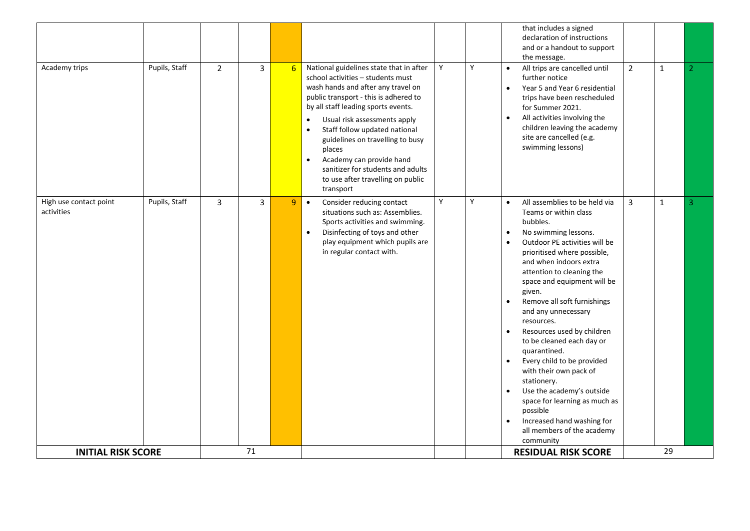| Academy trips                        | Pupils, Staff | $\overline{2}$ | $\overline{3}$       | 6 | National guidelines state that in after<br>school activities - students must<br>wash hands and after any travel on<br>public transport - this is adhered to<br>by all staff leading sports events.<br>Usual risk assessments apply<br>$\bullet$<br>Staff follow updated national<br>$\bullet$<br>guidelines on travelling to busy<br>places<br>Academy can provide hand<br>$\bullet$<br>sanitizer for students and adults<br>to use after travelling on public<br>transport | Y | Y | that includes a signed<br>declaration of instructions<br>and or a handout to support<br>the message.<br>All trips are cancelled until<br>$\bullet$<br>further notice<br>Year 5 and Year 6 residential<br>$\bullet$<br>trips have been rescheduled<br>for Summer 2021.<br>All activities involving the<br>$\bullet$<br>children leaving the academy<br>site are cancelled (e.g.<br>swimming lessons)                                                                                                                                                                                                                                                                                                                                         | $\overline{2}$ | $\mathbf{1}$       | 2 |
|--------------------------------------|---------------|----------------|----------------------|---|-----------------------------------------------------------------------------------------------------------------------------------------------------------------------------------------------------------------------------------------------------------------------------------------------------------------------------------------------------------------------------------------------------------------------------------------------------------------------------|---|---|---------------------------------------------------------------------------------------------------------------------------------------------------------------------------------------------------------------------------------------------------------------------------------------------------------------------------------------------------------------------------------------------------------------------------------------------------------------------------------------------------------------------------------------------------------------------------------------------------------------------------------------------------------------------------------------------------------------------------------------------|----------------|--------------------|---|
| High use contact point<br>activities | Pupils, Staff | $\overline{3}$ | $\overline{3}$<br>71 | 9 | Consider reducing contact<br>$\bullet$<br>situations such as: Assemblies.<br>Sports activities and swimming.<br>Disinfecting of toys and other<br>$\bullet$<br>play equipment which pupils are<br>in regular contact with.                                                                                                                                                                                                                                                  | Y | Y | All assemblies to be held via<br>$\bullet$<br>Teams or within class<br>bubbles.<br>No swimming lessons.<br>$\bullet$<br>Outdoor PE activities will be<br>$\bullet$<br>prioritised where possible,<br>and when indoors extra<br>attention to cleaning the<br>space and equipment will be<br>given.<br>Remove all soft furnishings<br>$\bullet$<br>and any unnecessary<br>resources.<br>Resources used by children<br>$\bullet$<br>to be cleaned each day or<br>quarantined.<br>Every child to be provided<br>$\bullet$<br>with their own pack of<br>stationery.<br>Use the academy's outside<br>$\bullet$<br>space for learning as much as<br>possible<br>Increased hand washing for<br>$\bullet$<br>all members of the academy<br>community | $\overline{3}$ | $\mathbf{1}$<br>29 | 3 |
| <b>INITIAL RISK SCORE</b>            |               |                |                      |   |                                                                                                                                                                                                                                                                                                                                                                                                                                                                             |   |   | <b>RESIDUAL RISK SCORE</b>                                                                                                                                                                                                                                                                                                                                                                                                                                                                                                                                                                                                                                                                                                                  |                |                    |   |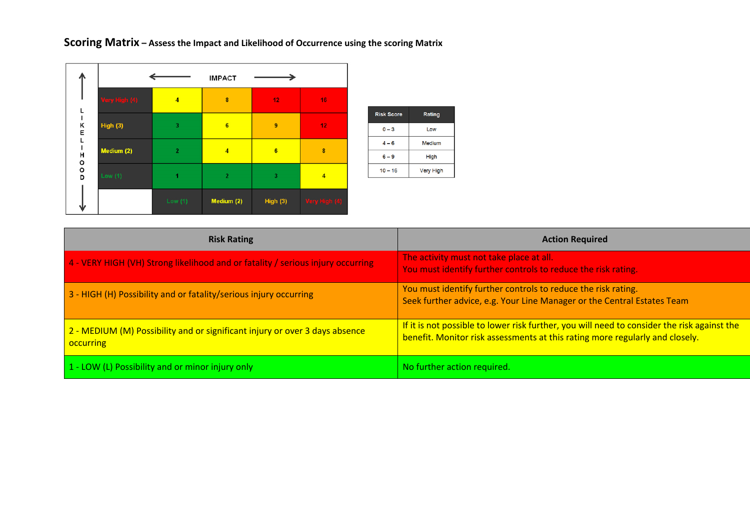**Scoring Matrix – Assess the Impact and Likelihood of Occurrence using the scoring Matrix** 

|                    |                | <b>IMPACT</b>  |                 |                 |
|--------------------|----------------|----------------|-----------------|-----------------|
| Very High (4)      | $\overline{4}$ | $\bf{8}$       | 12 <sub>1</sub> | 16 <sub>1</sub> |
| K<br>E<br>High (3) | 3              | $6\phantom{.}$ | $\overline{9}$  | 12 <sub>1</sub> |
| Medium (2)<br>Н    | $\overline{2}$ | $\overline{4}$ | $6\phantom{1}$  | $\pmb{8}$       |
| o o<br>Low $(1)$   | 1              | $\overline{2}$ | $\mathbf 3$     | $\overline{4}$  |
|                    | Low $(1)$      | Medium (2)     | High $(3)$      | Very High (4)   |

| <b>Risk Score</b> | Rating           |
|-------------------|------------------|
| $0 - 3$           | Low              |
| $4 - 6$           | Medium           |
| $6 - 9$           | High             |
| $10 - 16$         | <b>Very High</b> |
|                   |                  |

| <b>Risk Rating</b>                                                                              | <b>Action Required</b>                                                                                                                                                      |
|-------------------------------------------------------------------------------------------------|-----------------------------------------------------------------------------------------------------------------------------------------------------------------------------|
| 4 - VERY HIGH (VH) Strong likelihood and or fatality / serious injury occurring                 | The activity must not take place at all.<br>You must identify further controls to reduce the risk rating.                                                                   |
| 3 - HIGH (H) Possibility and or fatality/serious injury occurring                               | You must identify further controls to reduce the risk rating.<br>Seek further advice, e.g. Your Line Manager or the Central Estates Team                                    |
| 2 - MEDIUM (M) Possibility and or significant injury or over 3 days absence<br><b>occurring</b> | If it is not possible to lower risk further, you will need to consider the risk against the<br>benefit. Monitor risk assessments at this rating more regularly and closely. |
| 1 - LOW (L) Possibility and or minor injury only                                                | No further action required.                                                                                                                                                 |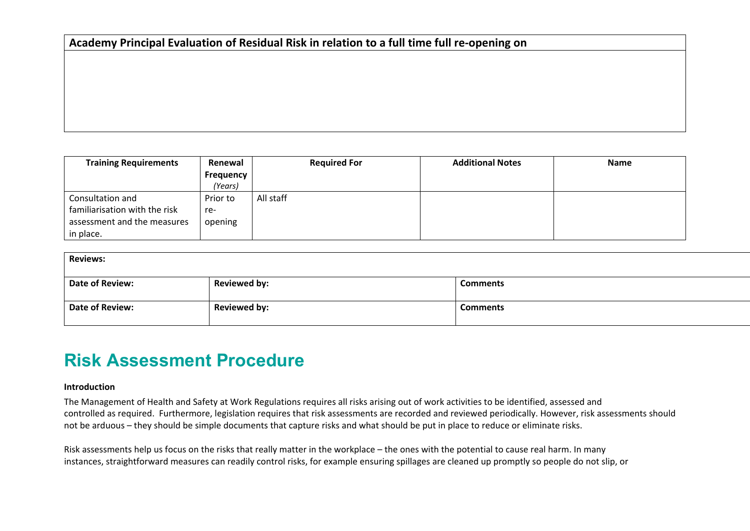# **Academy Principal Evaluation of Residual Risk in relation to a full time full re‐opening on**

| <b>Training Requirements</b>  | Renewal          | <b>Required For</b> | <b>Additional Notes</b> | <b>Name</b> |
|-------------------------------|------------------|---------------------|-------------------------|-------------|
|                               | <b>Frequency</b> |                     |                         |             |
|                               | (Years)          |                     |                         |             |
| Consultation and              | Prior to         | All staff           |                         |             |
| familiarisation with the risk | re-              |                     |                         |             |
| assessment and the measures   | opening          |                     |                         |             |
| in place.                     |                  |                     |                         |             |

| <b>Reviews:</b> |                     |                 |  |  |  |  |  |  |
|-----------------|---------------------|-----------------|--|--|--|--|--|--|
| Date of Review: | <b>Reviewed by:</b> | <b>Comments</b> |  |  |  |  |  |  |
| Date of Review: | <b>Reviewed by:</b> | <b>Comments</b> |  |  |  |  |  |  |

# **Risk Assessment Procedure**

### **Introduction**

The Management of Health and Safety at Work Regulations requires all risks arising out of work activities to be identified, assessed and controlled as required. Furthermore, legislation requires that risk assessments are recorded and reviewed periodically. However, risk assessments should not be arduous – they should be simple documents that capture risks and what should be put in place to reduce or eliminate risks.

Risk assessments help us focus on the risks that really matter in the workplace – the ones with the potential to cause real harm. In many instances, straightforward measures can readily control risks, for example ensuring spillages are cleaned up promptly so people do not slip, or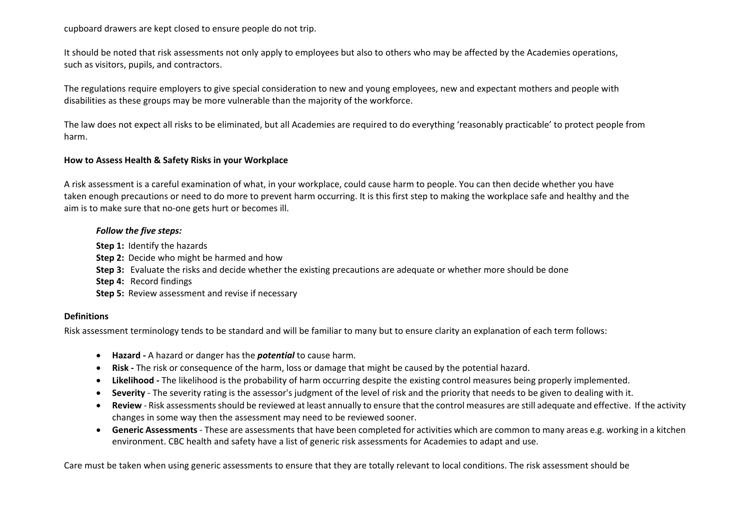cupboard drawers are kept closed to ensure people do not trip.

It should be noted that risk assessments not only apply to employees but also to others who may be affected by the Academies operations, such as visitors, pupils, and contractors.

The regulations require employers to give special consideration to new and young employees, new and expectant mothers and people with disabilities as these groups may be more vulnerable than the majority of the workforce.

The law does not expect all risks to be eliminated, but all Academies are required to do everything 'reasonably practicable' to protect people from harm.

### **How to Assess Health & Safety Risks in your Workplace**

A risk assessment is a careful examination of what, in your workplace, could cause harm to people. You can then decide whether you have taken enough precautions or need to do more to prevent harm occurring. It is this first step to making the workplace safe and healthy and the aim is to make sure that no-one gets hurt or becomes ill.

### *Follow the five steps:*

**Step 1: Identify the hazards** 

**Step 2:** Decide who might be harmed and how

**Step 3:** Evaluate the risks and decide whether the existing precautions are adequate or whether more should be done

**Step 4: Record findings** 

**Step 5:** Review assessment and revise if necessary

### **Definitions**

Risk assessment terminology tends to be standard and will be familiar to many but to ensure clarity an explanation of each term follows:

- **Hazard ‐** A hazard or danger has the *potential* to cause harm.
- **Risk ‐** The risk or consequence of the harm, loss or damage that might be caused by the potential hazard.
- **Likelihood ‐** The likelihood is the probability of harm occurring despite the existing control measures being properly implemented.
- $\bullet$ Severity - The severity rating is the assessor's judgment of the level of risk and the priority that needs to be given to dealing with it.
- $\bullet$  **Review** ‐ Risk assessments should be reviewed at least annually to ensure that the control measures are still adequate and effective. If the activity changes in some way then the assessment may need to be reviewed sooner.
- **Generic Assessments** ‐ These are assessments that have been completed for activities which are common to many areas e.g. working in a kitchen environment. CBC health and safety have a list of generic risk assessments for Academies to adapt and use.

Care must be taken when using generic assessments to ensure that they are totally relevant to local conditions. The risk assessment should be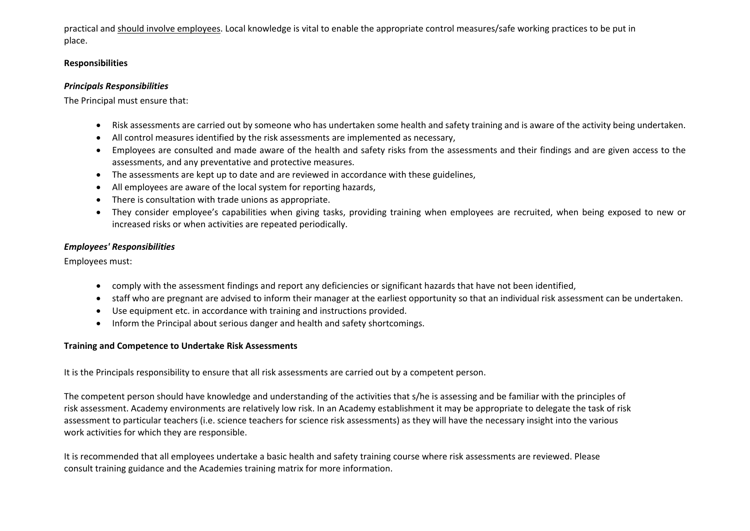practical and should involve employees. Local knowledge is vital to enable the appropriate control measures/safe working practices to be put in place.

# **Responsibilities**

### *Principals Responsibilities*

The Principal must ensure that:

- Risk assessments are carried out by someone who has undertaken some health and safety training and is aware of the activity being undertaken.
- All control measures identified by the risk assessments are implemented as necessary,
- Employees are consulted and made aware of the health and safety risks from the assessments and their findings and are given access to the assessments, and any preventative and protective measures.
- The assessments are kept up to date and are reviewed in accordance with these guidelines,
- $\bullet$ All employees are aware of the local system for reporting hazards,
- . There is consultation with trade unions as appropriate.
- . They consider employee's capabilities when giving tasks, providing training when employees are recruited, when being exposed to new or increased risks or when activities are repeated periodically.

# *Employees' Responsibilities*

Employees must:

- comply with the assessment findings and report any deficiencies or significant hazards that have not been identified,
- staff who are pregnant are advised to inform their manager at the earliest opportunity so that an individual risk assessment can be undertaken.
- Use equipment etc. in accordance with training and instructions provided.
- Inform the Principal about serious danger and health and safety shortcomings.

# **Training and Competence to Undertake Risk Assessments**

It is the Principals responsibility to ensure that all risk assessments are carried out by a competent person.

The competent person should have knowledge and understanding of the activities that s/he is assessing and be familiar with the principles of risk assessment. Academy environments are relatively low risk. In an Academy establishment it may be appropriate to delegate the task of risk assessment to particular teachers (i.e. science teachers for science risk assessments) as they will have the necessary insight into the various work activities for which they are responsible.

It is recommended that all employees undertake a basic health and safety training course where risk assessments are reviewed. Please consult training guidance and the Academies training matrix for more information.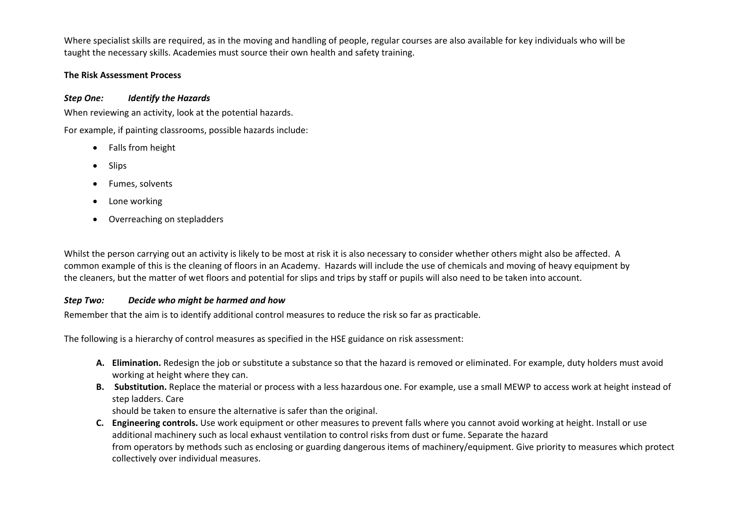Where specialist skills are required, as in the moving and handling of people, regular courses are also available for key individuals who will be taught the necessary skills. Academies must source their own health and safety training.

# **The Risk Assessment Process**

# *Step One: Identify the Hazards*

When reviewing an activity, look at the potential hazards.

For example, if painting classrooms, possible hazards include:

- Falls from height
- 0 Slips
- $\bullet$ Fumes, solvents
- 0 Lone working
- $\bullet$ Overreaching on stepladders

Whilst the person carrying out an activity is likely to be most at risk it is also necessary to consider whether others might also be affected. A common example of this is the cleaning of floors in an Academy. Hazards will include the use of chemicals and moving of heavy equipment by the cleaners, but the matter of wet floors and potential for slips and trips by staff or pupils will also need to be taken into account.

# *Step Two: Decide who might be harmed and how*

Remember that the aim is to identify additional control measures to reduce the risk so far as practicable.

The following is a hierarchy of control measures as specified in the HSE guidance on risk assessment:

- **A. Elimination.** Redesign the job or substitute a substance so that the hazard is removed or eliminated. For example, duty holders must avoid working at height where they can.
- **B. Substitution.** Replace the material or process with a less hazardous one. For example, use a small MEWP to access work at height instead of step ladders. Care

should be taken to ensure the alternative is safer than the original.

**C. Engineering controls.** Use work equipment or other measures to prevent falls where you cannot avoid working at height. Install or use additional machinery such as local exhaust ventilation to control risks from dust or fume. Separate the hazard from operators by methods such as enclosing or guarding dangerous items of machinery/equipment. Give priority to measures which protect collectively over individual measures.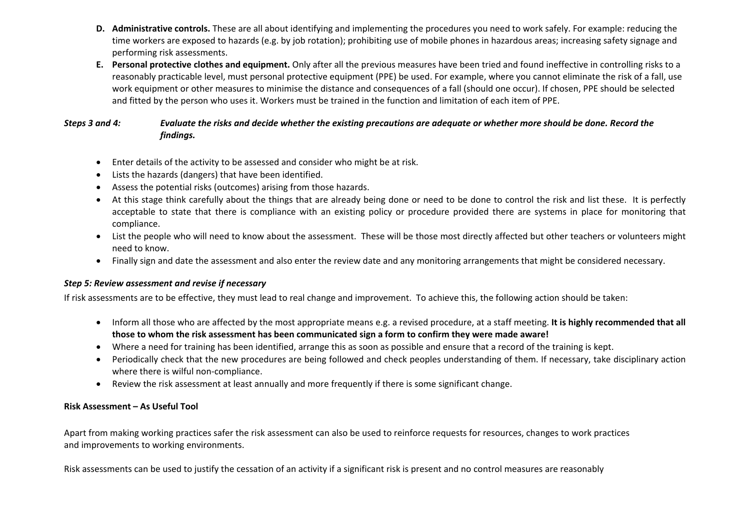- **D. Administrative controls.** These are all about identifying and implementing the procedures you need to work safely. For example: reducing the time workers are exposed to hazards (e.g. by job rotation); prohibiting use of mobile phones in hazardous areas; increasing safety signage and performing risk assessments.
- **E. Personal protective clothes and equipment.** Only after all the previous measures have been tried and found ineffective in controlling risks to a reasonably practicable level, must personal protective equipment (PPE) be used. For example, where you cannot eliminate the risk of a fall, use work equipment or other measures to minimise the distance and consequences of a fall (should one occur). If chosen, PPE should be selected and fitted by the person who uses it. Workers must be trained in the function and limitation of each item of PPE.

# *Steps 3 and 4: Evaluate the risks and decide whether the existing precautions are adequate or whether more should be done. Record the findings.*

- Enter details of the activity to be assessed and consider who might be at risk.
- Lists the hazards (dangers) that have been identified.
- Assess the potential risks (outcomes) arising from those hazards.
- At this stage think carefully about the things that are already being done or need to be done to control the risk and list these. It is perfectly acceptable to state that there is compliance with an existing policy or procedure provided there are systems in place for monitoring that compliance.
- List the people who will need to know about the assessment. These will be those most directly affected but other teachers or volunteers might need to know.
- Finally sign and date the assessment and also enter the review date and any monitoring arrangements that might be considered necessary.

# *Step 5: Review assessment and revise if necessary*

If risk assessments are to be effective, they must lead to real change and improvement. To achieve this, the following action should be taken:

- Inform all those who are affected by the most appropriate means e.g. a revised procedure, at a staff meeting. **It is highly recommended that all those to whom the risk assessment has been communicated sign a form to confirm they were made aware!**
- Where a need for training has been identified, arrange this as soon as possible and ensure that a record of the training is kept.
- Periodically check that the new procedures are being followed and check peoples understanding of them. If necessary, take disciplinary action where there is wilful non-compliance.
- Review the risk assessment at least annually and more frequently if there is some significant change.

# **Risk Assessment – As Useful Tool**

Apart from making working practices safer the risk assessment can also be used to reinforce requests for resources, changes to work practices and improvements to working environments.

Risk assessments can be used to justify the cessation of an activity if a significant risk is present and no control measures are reasonably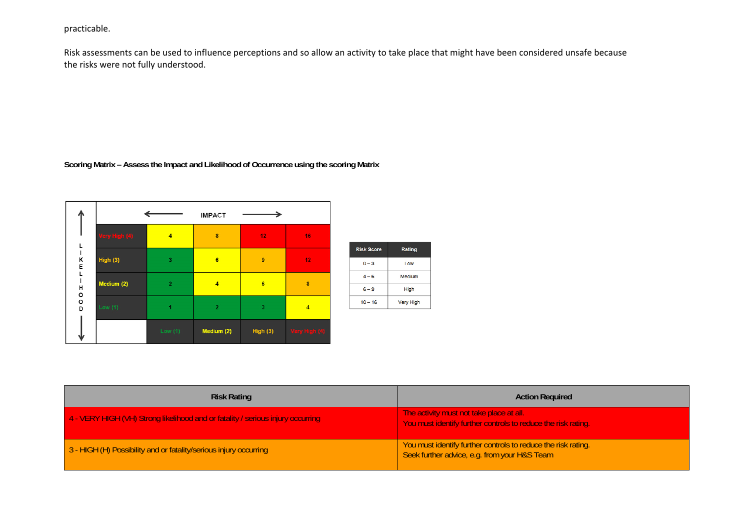# practicable.

Risk assessments can be used to influence perceptions and so allow an activity to take place that might have been considered unsafe because the risks were not fully understood.

**Scoring Matrix – Assess the Impact and Likelihood of Occurrence using the scoring Matrix** 



| <b>Risk Rating</b>                                                              | <b>Action Required</b>                                                                                        |
|---------------------------------------------------------------------------------|---------------------------------------------------------------------------------------------------------------|
| 4 - VERY HIGH (VH) Strong likelihood and or fatality / serious injury occurring | The activity must not take place at all.<br>You must identify further controls to reduce the risk rating.     |
| 3 - HIGH (H) Possibility and or fatality/serious injury occurring               | You must identify further controls to reduce the risk rating.<br>Seek further advice, e.g. from your H&S Team |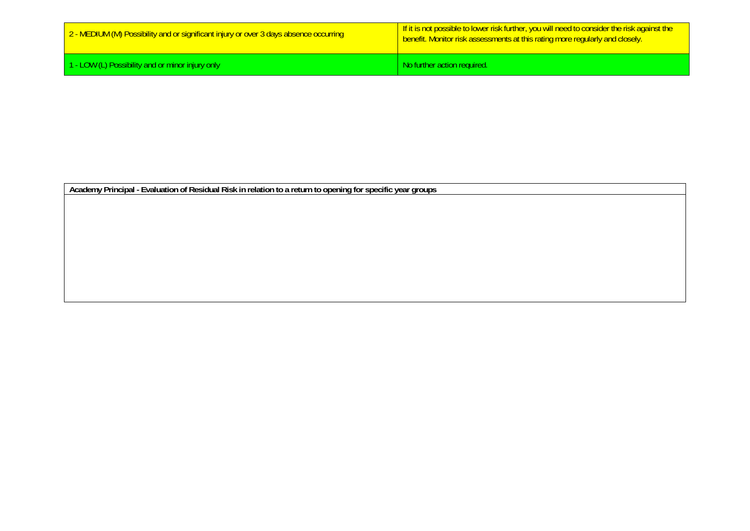| 2 - MEDIUM (M) Possibility and or significant injury or over 3 days absence occurring | <u>If it is not possible to lower risk further, you will need to consider the risk against the I</u><br><b>benefit.</b> Monitor risk assessments at this rating more regularly and closely. |
|---------------------------------------------------------------------------------------|---------------------------------------------------------------------------------------------------------------------------------------------------------------------------------------------|
| 1 - LOW (L) Possibility and or minor injury only                                      | I No further action required.                                                                                                                                                               |

**Academy Principal - Evaluation of Residual Risk in relation to a return to opening for specific year groups**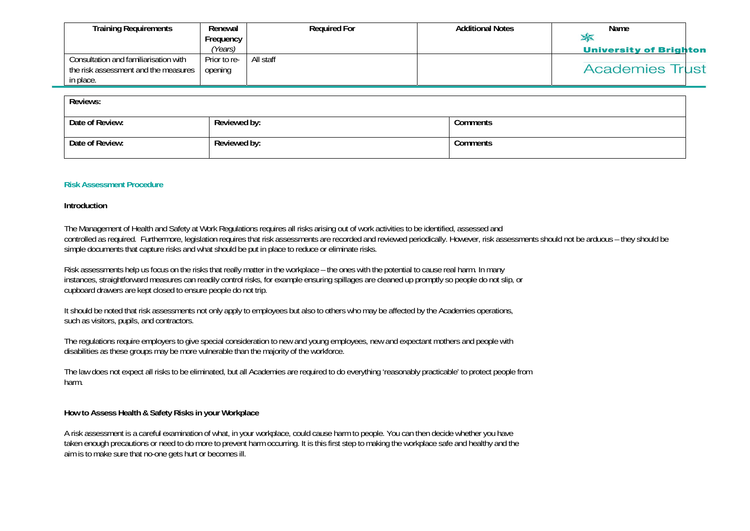| Training Requirements                 | Renewal      | <b>Required For</b> | <b>Additional Notes</b> | Name                          |
|---------------------------------------|--------------|---------------------|-------------------------|-------------------------------|
|                                       | Frequency    |                     |                         |                               |
|                                       | (Years)      |                     |                         | <b>University of Brighton</b> |
| Consultation and familiarisation with | Prior to re- | All staff           |                         |                               |
| the risk assessment and the measures  | opening      |                     |                         | <b>Academies Trust</b>        |
| in place.                             |              |                     |                         |                               |

| Reviews:        |              |          |  |  |
|-----------------|--------------|----------|--|--|
| Date of Review: | Reviewed by: | Comments |  |  |
| Date of Review: | Reviewed by: | Comments |  |  |

#### **Risk Assessment Procedure**

#### **Introduction**

The Management of Health and Safety at Work Regulations requires all risks arising out of work activities to be identified, assessed and controlled as required. Furthermore, legislation requires that risk assessments are recorded and reviewed periodically. However, risk assessments should not be arduous – they should be simple documents that capture risks and what should be put in place to reduce or eliminate risks.

Risk assessments help us focus on the risks that really matter in the workplace – the ones with the potential to cause real harm. In many instances, straightforward measures can readily control risks, for example ensuring spillages are cleaned up promptly so people do not slip, or cupboard drawers are kept closed to ensure people do not trip.

It should be noted that risk assessments not only apply to employees but also to others who may be affected by the Academies operations, such as visitors, pupils, and contractors.

The regulations require employers to give special consideration to new and young employees, new and expectant mothers and people with disabilities as these groups may be more vulnerable than the majority of the workforce.

The law does not expect all risks to be eliminated, but all Academies are required to do everything 'reasonably practicable' to protect people from harm.

#### **How to Assess Health & Safety Risks in your Workplace**

A risk assessment is a careful examination of what, in your workplace, could cause harm to people. You can then decide whether you have taken enough precautions or need to do more to prevent harm occurring. It is this first step to making the workplace safe and healthy and the aim is to make sure that no-one gets hurt or becomes ill.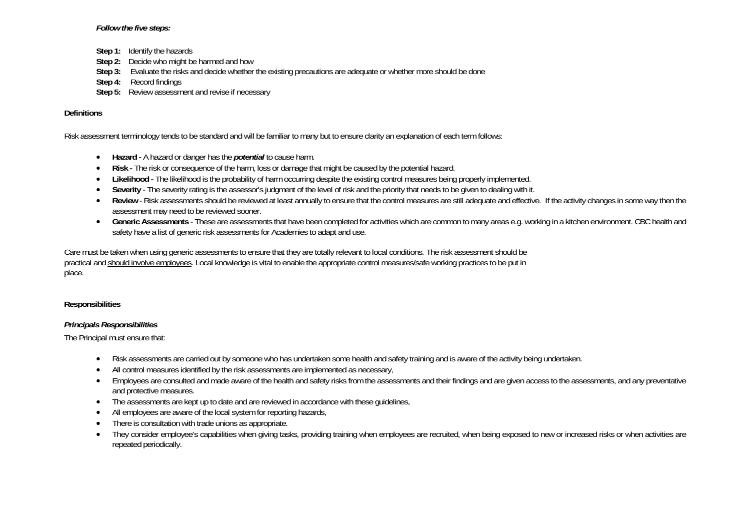### *Follow the five steps:*

- **Step 1:** Identify the hazards
- **Step 2:** Decide who might be harmed and how
- **Step 3:** Evaluate the risks and decide whether the existing precautions are adequate or whether more should be done
- **Step 4:** Record findings
- **Step 5:** Review assessment and revise if necessary

### **Definitions**

Risk assessment terminology tends to be standard and will be familiar to many but to ensure clarity an explanation of each term follows:

- **Hazard** A hazard or danger has the *potential* to cause harm.
- **Risk** The risk or consequence of the harm, loss or damage that might be caused by the potential hazard.
- $\bullet$ Likelihood - The likelihood is the probability of harm occurring despite the existing control measures being properly implemented.
- $\bullet$ **Severity** - The severity rating is the assessor's judgment of the level of risk and the priority that needs to be given to dealing with it.
- $\bullet$  **Review** - Risk assessments should be reviewed at least annually to ensure that the control measures are still adequate and effective. If the activity changes in some way then the assessment may need to be reviewed sooner.
- c **Generic Assessments** - These are assessments that have been completed for activities which are common to many areas e.g. working in a kitchen environment. CBC health and safety have a list of generic risk assessments for Academies to adapt and use.

Care must be taken when using generic assessments to ensure that they are totally relevant to local conditions. The risk assessment should be practical and should involve employees. Local knowledge is vital to enable the appropriate control measures/safe working practices to be put in place.

### **Responsibilities**

### *Principals Responsibilities*

The Principal must ensure that:

- $\bullet$ Risk assessments are carried out by someone who has undertaken some health and safety training and is aware of the activity being undertaken.
- ٠ All control measures identified by the risk assessments are implemented as necessary,
- $\bullet$  Employees are consulted and made aware of the health and safety risks from the assessments and their findings and are given access to the assessments, and any preventative and protective measures.
- The assessments are kept up to date and are reviewed in accordance with these guidelines,
- $\bullet$ All employees are aware of the local system for reporting hazards,
- $\bullet$ There is consultation with trade unions as appropriate.
- $\bullet$  They consider employee's capabilities when giving tasks, providing training when employees are recruited, when being exposed to new or increased risks or when activities are repeated periodically.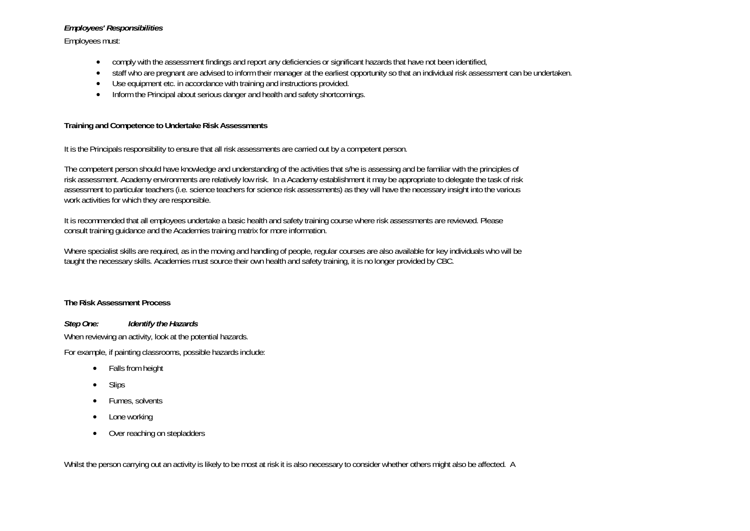### *Employees' Responsibilities*

Employees must:

- $\bullet$ comply with the assessment findings and report any deficiencies or significant hazards that have not been identified,
- $\bullet$ staff who are pregnant are advised to inform their manager at the earliest opportunity so that an individual risk assessment can be undertaken.
- $\bullet$ Use equipment etc. in accordance with training and instructions provided.
- $\bullet$ Inform the Principal about serious danger and health and safety shortcomings.

# **Training and Competence to Undertake Risk Assessments**

It is the Principals responsibility to ensure that all risk assessments are carried out by a competent person.

The competent person should have knowledge and understanding of the activities that s/he is assessing and be familiar with the principles of risk assessment. Academy environments are relatively low risk. In a Academy establishment it may be appropriate to delegate the task of risk assessment to particular teachers (i.e. science teachers for science risk assessments) as they will have the necessary insight into the various work activities for which they are responsible.

It is recommended that all employees undertake a basic health and safety training course where risk assessments are reviewed. Please consult training guidance and the Academies training matrix for more information.

Where specialist skills are required, as in the moving and handling of people, regular courses are also available for key individuals who will be taught the necessary skills. Academies must source their own health and safety training, it is no longer provided by CBC.

# **The Risk Assessment Process**

*Step One: Identify the Hazards*  When reviewing an activity, look at the potential hazards. For example, if painting classrooms, possible hazards include:

- $\bullet$ Falls from height
- ۰ Slips
- $\bullet$ Fumes, solvents
- $\bullet$ Lone working
- $\bullet$ Over reaching on stepladders

Whilst the person carrying out an activity is likely to be most at risk it is also necessary to consider whether others might also be affected. A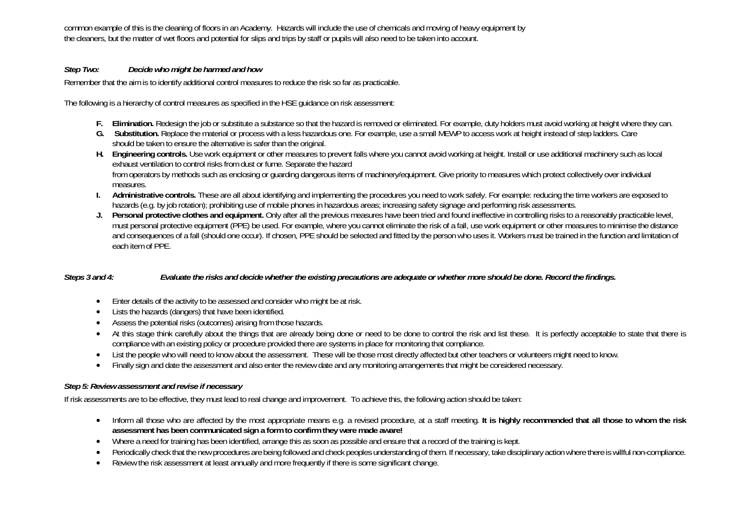common example of this is the cleaning of floors in an Academy. Hazards will include the use of chemicals and moving of heavy equipment by the cleaners, but the matter of wet floors and potential for slips and trips by staff or pupils will also need to be taken into account.

# *Step Two: Decide who might be harmed and how*

Remember that the aim is to identify additional control measures to reduce the risk so far as practicable.

The following is a hierarchy of control measures as specified in the HSE guidance on risk assessment:

- **F. Elimination.** Redesign the job or substitute a substance so that the hazard is removed or eliminated. For example, duty holders must avoid working at height where they can.
- **G. Substitution.** Replace the material or process with a less hazardous one. For example, use a small MEWP to access work at height instead of step ladders. Care should be taken to ensure the alternative is safer than the original.
- **H. Engineering controls.** Use work equipment or other measures to prevent falls where you cannot avoid working at height. Install or use additional machinery such as local exhaust ventilation to control risks from dust or fume. Separate the hazard from operators by methods such as enclosing or guarding dangerous items of machinery/equipment. Give priority to measures which protect collectively over individual measures.
- **I. Administrative controls.** These are all about identifying and implementing the procedures you need to work safely. For example: reducing the time workers are exposed to hazards (e.g. by job rotation); prohibiting use of mobile phones in hazardous areas; increasing safety signage and performing risk assessments.
- **J.** Personal protective clothes and equipment. Only after all the previous measures have been tried and found ineffective in controlling risks to a reasonably practicable level, must personal protective equipment (PPE) be used. For example, where you cannot eliminate the risk of a fall, use work equipment or other measures to minimise the distance and consequences of a fall (should one occur). If chosen, PPE should be selected and fitted by the person who uses it. Workers must be trained in the function and limitation of each item of PPE.

# *Steps 3 and 4: Evaluate the risks and decide whether the existing precautions are adequate or whether more should be done. Record the findings.*

- Enter details of the activity to be assessed and consider who might be at risk.
- ٠ Lists the hazards (dangers) that have been identified.
- $\bullet$ Assess the potential risks (outcomes) arising from those hazards.
- $\bullet$ At this stage think carefully about the things that are already being done or need to be done to control the risk and list these. It is perfectly acceptable to state that there is compliance with an existing policy or procedure provided there are systems in place for monitoring that compliance.
- $\bullet$ List the people who will need to know about the assessment. These will be those most directly affected but other teachers or volunteers might need to know.
- $\bullet$ Finally sign and date the assessment and also enter the review date and any monitoring arrangements that might be considered necessary.

# *Step 5: Review assessment and revise if necessary*

If risk assessments are to be effective, they must lead to real change and improvement. To achieve this, the following action should be taken:

- Inform all those who are affected by the most appropriate means e.g. a revised procedure, at a staff meeting. **It is highly recommended that all those to whom the risk assessment has been communicated sign a form to confirm they were made aware!**
- $\bullet$ Where a need for training has been identified, arrange this as soon as possible and ensure that a record of the training is kept.
- $\bullet$ Periodically check that the new procedures are being followed and check peoples understanding of them. If necessary, take disciplinary action where there is willful non-compliance.
- $\bullet$ Review the risk assessment at least annually and more frequently if there is some significant change.